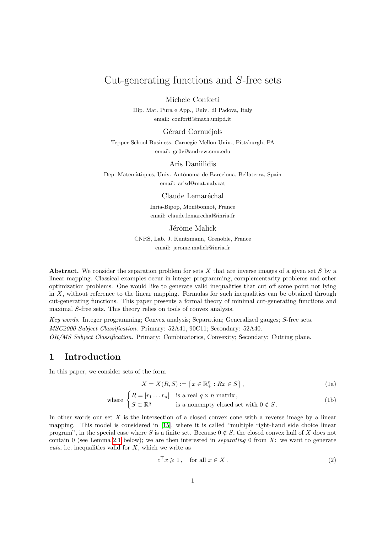# Cut-generating functions and S-free sets

Michele Conforti

Dip. Mat. Pura e App., Univ. di Padova, Italy email: conforti@math.unipd.it

#### Gérard Cornuéjols

Tepper School Business, Carnegie Mellon Univ., Pittsburgh, PA email: gc0v@andrew.cmu.edu

#### Aris Daniilidis

Dep. Matemàtiques, Univ. Autònoma de Barcelona, Bellaterra, Spain email: arisd@mat.uab.cat

#### Claude Lemaréchal

Inria-Bipop, Montbonnot, France email: claude.lemarechal@inria.fr

#### Jérôme Malick

CNRS, Lab. J. Kuntzmann, Grenoble, France email: jerome.malick@inria.fr

Abstract. We consider the separation problem for sets  $X$  that are inverse images of a given set  $S$  by a linear mapping. Classical examples occur in integer programming, complementarity problems and other optimization problems. One would like to generate valid inequalities that cut off some point not lying in  $X$ , without reference to the linear mapping. Formulas for such inequalities can be obtained through cut-generating functions. This paper presents a formal theory of minimal cut-generating functions and maximal S-free sets. This theory relies on tools of convex analysis.

Key words. Integer programming; Convex analysis; Separation; Generalized gauges; S-free sets. MSC2000 Subject Classification. Primary: 52A41, 90C11; Secondary: 52A40. OR/MS Subject Classification. Primary: Combinatorics, Convexity; Secondary: Cutting plane.

## 1 Introduction

In this paper, we consider sets of the form

<span id="page-0-2"></span><span id="page-0-0"></span>
$$
X = X(R, S) := \{ x \in \mathbb{R}_+^n : Rx \in S \},
$$
\n(1a)

where 
$$
\begin{cases} R = [r_1 \dots r_n] & \text{is a real } q \times n \text{ matrix,} \\ S \subset \mathbb{R}^q & \text{is a nonempty closed set with } 0 \notin S. \end{cases}
$$
 (1b)

In other words our set  $X$  is the intersection of a closed convex cone with a reverse image by a linear mapping. This model is considered in [\[15\]](#page-22-0), where it is called "multiple right-hand side choice linear program", in the special case where S is a finite set. Because  $0 \notin S$ , the closed convex hull of X does not contain 0 (see Lemma [2.1](#page-2-0) below); we are then interested in *separating* 0 from X; we want to generate cuts, i.e. inequalities valid for  $X$ , which we write as

<span id="page-0-3"></span><span id="page-0-1"></span>
$$
c^{\top} x \geqslant 1, \quad \text{for all } x \in X. \tag{2}
$$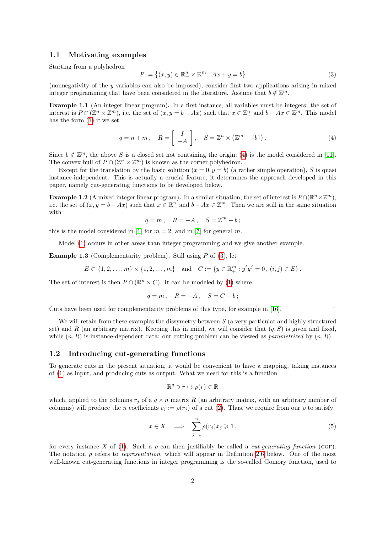## 1.1 Motivating examples

Starting from a polyhedron

<span id="page-1-1"></span>
$$
P := \left\{ (x, y) \in \mathbb{R}_+^n \times \mathbb{R}^m : Ax + y = b \right\}
$$
\n
$$
(3)
$$

(nonnegativity of the *y*-variables can also be imposed), consider first two applications arising in mixed integer programming that have been considered in the literature. Assume that  $b \notin \mathbb{Z}^m$ .

<span id="page-1-3"></span>Example 1.1 (An integer linear program). In a first instance, all variables must be integers: the set of interest is  $P \cap (\mathbb{Z}^n \times \mathbb{Z}^m)$ , i.e. the set of  $(x, y = b - Ax)$  such that  $x \in \mathbb{Z}_+^n$  and  $b - Ax \in \mathbb{Z}^m$ . This model has the form [\(1\)](#page-0-0) if we set

<span id="page-1-0"></span>
$$
q = n + m, \quad R = \begin{bmatrix} I \\ -A \end{bmatrix}, \quad S = \mathbb{Z}^n \times (\mathbb{Z}^m - \{b\}). \tag{4}
$$

Since  $b \notin \mathbb{Z}^m$ , the above S is a closed set not containing the origin; [\(4\)](#page-1-0) is the model considered in [\[11\]](#page-21-0). The convex hull of  $P \cap (\mathbb{Z}^n \times \mathbb{Z}^m)$  is known as the corner polyhedron.

Except for the translation by the basic solution  $(x = 0, y = b)$  (a rather simple operation), S is quasi instance-independent. This is actually a crucial feature; it determines the approach developed in this paper, namely cut-generating functions to be developed below.  $\Box$ 

**Example 1.2** (A mixed integer linear program). In a similar situation, the set of interest is  $P \cap (\mathbb{R}^n \times \mathbb{Z}^m)$ , i.e. the set of  $(x, y = b - Ax)$  such that  $x \in \mathbb{R}^n_+$  and  $b - Ax \in \mathbb{Z}^m$ . Then we are still in the same situation with

$$
q = m, \quad R = -A, \quad S = \mathbb{Z}^m - b;
$$

this is the model considered in [\[1\]](#page-21-1) for  $m = 2$ , and in [\[7\]](#page-21-2) for general m.

Model [\(1\)](#page-0-0) occurs in other areas than integer programming and we give another example.

**Example 1.3** (Complementarity problem). Still using  $P$  of [\(3\)](#page-1-1), let

$$
E \subset \{1, 2, \dots, m\} \times \{1, 2, \dots, m\} \text{ and } C := \{y \in \mathbb{R}_+^m : y^i y^j = 0, (i, j) \in E\}.
$$

The set of interest is then  $P \cap (\mathbb{R}^n \times C)$ . It can be modeled by [\(1\)](#page-0-0) where

$$
q = m, \quad R = -A, \quad S = C - b;
$$

Cuts have been used for complementarity problems of this type, for example in [\[16\]](#page-22-1).

We will retain from these examples the dissymetry between  $S$  (a very particular and highly structured set) and R (an arbitrary matrix). Keeping this in mind, we will consider that  $(q, S)$  is given and fixed, while  $(n, R)$  is instance-dependent data: our cutting problem can be viewed as *parametrized* by  $(n, R)$ .

#### 1.2 Introducing cut-generating functions

To generate cuts in the present situation, it would be convenient to have a mapping, taking instances of [\(1\)](#page-0-0) as input, and producing cuts as output. What we need for this is a function

$$
\mathbb{R}^q \ni r \mapsto \rho(r) \in \mathbb{R}
$$

which, applied to the columns  $r_j$  of a  $q \times n$  matrix R (an arbitrary matrix, with an arbitrary number of columns) will produce the n coefficients  $c_i := \rho(r_i)$  of a cut [\(2\)](#page-0-1). Thus, we require from our  $\rho$  to satisfy

<span id="page-1-2"></span>
$$
x \in X \quad \Longrightarrow \quad \sum_{j=1}^{n} \rho(r_j) x_j \geqslant 1 \,, \tag{5}
$$

for every instance X of [\(1\)](#page-0-0). Such a  $\rho$  can then justifiably be called a *cut-generating function* (CGF). The notation  $\rho$  refers to *representation*, which will appear in Definition [2.6](#page-5-0) below. One of the most well-known cut-generating functions in integer programming is the so-called Gomory function, used to

 $\Box$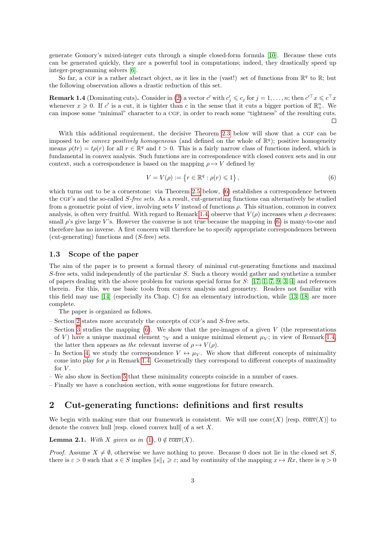generate Gomory's mixed-integer cuts through a simple closed-form formula [\[10\]](#page-21-3). Because these cuts can be generated quickly, they are a powerful tool in computations; indeed, they drastically speed up integer-programming solvers [\[6\]](#page-21-4).

So far, a CGF is a rather abstract object, as it lies in the (vast!) set of functions from  $\mathbb{R}^q$  to  $\mathbb{R}$ ; but the following observation allows a drastic reduction of this set.

<span id="page-2-2"></span>**Remark 1.4** (Dominating cuts). Consider in [\(2\)](#page-0-1) a vector c' with  $c'_j \leqslant c_j$  for  $j = 1, \ldots, n$ ; then  $c'^{\top} x \leqslant c^{\top} x$ whenever  $x \geq 0$ . If c' is a cut, it is tighter than c in the sense that it cuts a bigger portion of  $\mathbb{R}^n_+$ . We can impose some "minimal" character to a cgf, in order to reach some "tightness" of the resulting cuts.

With this additional requirement, the decisive Theorem [2.3](#page-3-0) below will show that a CGF can be imposed to be *convex positively homogeneous* (and defined on the whole of  $\mathbb{R}^q$ ); positive homogeneity means  $\rho(tr) = t\rho(r)$  for all  $r \in \mathbb{R}^q$  and  $t > 0$ . This is a fairly narrow class of functions indeed, which is fundamental in convex analysis. Such functions are in correspondence with closed convex sets and in our context, such a correspondence is based on the mapping  $\rho \mapsto V$  defined by

<span id="page-2-1"></span>
$$
V = V(\rho) := \{ r \in \mathbb{R}^q : \rho(r) \leq 1 \},
$$
\n(6)

which turns out to be a cornerstone: via Theorem [2.5](#page-4-0) below,  $(6)$  establishes a correspondence between the CGF's and the so-called S-free sets. As a result, cut-generating functions can alternatively be studied from a geometric point of view, involving sets V instead of functions  $\rho$ . This situation, common in convex analysis, is often very fruitful. With regard to Remark [1.4,](#page-2-2) observe that  $V(\rho)$  increases when  $\rho$  decreases: small  $\rho$ 's give large V's. However the converse is not true because the mapping in [\(6\)](#page-2-1) is many-to-one and therefore has no inverse. A first concern will therefore be to specify appropriate correspondences between (cut-generating) functions and (S-free) sets.

#### 1.3 Scope of the paper

The aim of the paper is to present a formal theory of minimal cut-generating functions and maximal S-free sets, valid independently of the particular S. Such a theory would gather and synthetize a number of papers dealing with the above problem for various special forms for S: [\[17,](#page-22-2) [1,](#page-21-1) [7,](#page-21-2) [9,](#page-21-5) [3,](#page-21-6) [4\]](#page-21-7) and references therein. For this, we use basic tools from convex analysis and geometry. Readers not familiar with this field may use [\[14\]](#page-21-8) (especially its Chap. C) for an elementary introduction, while [\[13,](#page-21-9) [18\]](#page-22-3) are more complete.

The paper is organized as follows.

- Section [2](#page-2-3) states more accurately the concepts of CGF's and S-free sets.
- Section [3](#page-5-1) studies the mapping  $(6)$ . We show that the pre-images of a given V (the representations of V) have a unique maximal element  $\gamma_V$  and a unique minimal element  $\mu_V$ ; in view of Remark [1.4,](#page-2-2) the latter then appears as the relevant inverse of  $\rho \mapsto V(\rho)$ .
- In Section [4,](#page-10-0) we study the correspondence  $V \leftrightarrow \mu_V$ . We show that different concepts of minimality come into play for  $\rho$  in Remark [1.4.](#page-2-2) Geometrically they correspond to different concepts of maximality for  $V$ .
- We also show in Section [5](#page-14-0) that these minimality concepts coincide in a number of cases.
- Finally we have a conclusion section, with some suggestions for future research.

## <span id="page-2-3"></span>2 Cut-generating functions: definitions and first results

We begin with making sure that our framework is consistent. We will use  $conv(X)$  [resp.  $\overline{conv}(X)$ ] to denote the convex hull [resp. closed convex hull] of a set  $X$ .

<span id="page-2-0"></span>**Lemma 2.1.** With X given as in [\(1\)](#page-0-0),  $0 \notin \overline{conv}(X)$ .

*Proof.* Assume  $X \neq \emptyset$ , otherwise we have nothing to prove. Because 0 does not lie in the closed set S, there is  $\varepsilon > 0$  such that  $s \in S$  implies  $||s||_1 \geq \varepsilon$ ; and by continuity of the mapping  $x \mapsto Rx$ , there is  $\eta > 0$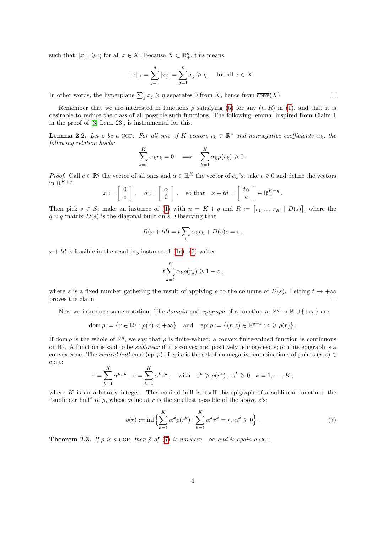such that  $||x||_1 \geqslant \eta$  for all  $x \in X$ . Because  $X \subset \mathbb{R}^n_+$ , this means

$$
||x||_1 = \sum_{j=1}^n |x_j| = \sum_{j=1}^n x_j \ge \eta
$$
, for all  $x \in X$ .

In other words, the hyperplane  $\sum_j x_j \geqslant \eta$  separates 0 from X, hence from  $\overline{conv}(X)$ .

Remember that we are interested in functions  $\rho$  satisfying [\(5\)](#page-1-2) for any  $(n, R)$  in [\(1\)](#page-0-0), and that it is desirable to reduce the class of all possible such functions. The following lemma, inspired from Claim 1 in the proof of [\[3,](#page-21-6) Lem. 23], is instrumental for this.

<span id="page-3-2"></span>**Lemma 2.2.** Let  $\rho$  be a CGF. For all sets of K vectors  $r_k \in \mathbb{R}^q$  and nonnegative coefficients  $\alpha_k$ , the following relation holds:

$$
\sum_{k=1}^K \alpha_k r_k = 0 \quad \Longrightarrow \quad \sum_{k=1}^K \alpha_k \rho(r_k) \geq 0.
$$

*Proof.* Call  $e \in \mathbb{R}^q$  the vector of all ones and  $\alpha \in \mathbb{R}^K$  the vector of  $\alpha_k$ 's; take  $t \geq 0$  and define the vectors in  $\mathbb{R}^{K+q}$ 

$$
x := \left[ \begin{array}{c} 0 \\ e \end{array} \right], \quad d := \left[ \begin{array}{c} \alpha \\ 0 \end{array} \right], \quad \text{so that} \quad x + td = \left[ \begin{array}{c} t\alpha \\ e \end{array} \right] \in \mathbb{R}_{+}^{K+q}.
$$

Then pick  $s \in S$ ; make an instance of [\(1\)](#page-0-0) with  $n = K + q$  and  $R := [r_1 \dots r_K | D(s)]$ , where the  $q \times q$  matrix  $D(s)$  is the diagonal built on s. Observing that

$$
R(x + td) = t \sum_{k} \alpha_k r_k + D(s)e = s,
$$

 $x + td$  is feasible in the resulting instance of [\(1a\)](#page-0-2): [\(5\)](#page-1-2) writes

$$
t\sum_{k=1}^K \alpha_k \rho(r_k) \geqslant 1-z\,,
$$

where z is a fixed number gathering the result of applying  $\rho$  to the columns of  $D(s)$ . Letting  $t \to +\infty$ proves the claim.  $\Box$ 

Now we introduce some notation. The *domain* and epigraph of a function  $\rho \colon \mathbb{R}^q \to \mathbb{R} \cup \{+\infty\}$  are

dom 
$$
\rho := \{r \in \mathbb{R}^q : \rho(r) < +\infty\}
$$
 and  $\text{epi } \rho := \{(r, z) \in \mathbb{R}^{q+1} : z \geq \rho(r)\}.$ 

If dom  $\rho$  is the whole of  $\mathbb{R}^q$ , we say that  $\rho$  is finite-valued; a convex finite-valued function is continuous on  $\mathbb{R}^q$ . A function is said to be *sublinear* if it is convex and positively homogeneous; or if its epigraph is a convex cone. The *conical hull* cone (epi  $\rho$ ) of epi  $\rho$  is the set of nonnegative combinations of points  $(r, z) \in$ epi ρ:

$$
r = \sum_{k=1}^{K} \alpha^k r^k
$$
,  $z = \sum_{k=1}^{K} \alpha^k z^k$ , with  $z^k \ge \rho(r^k)$ ,  $\alpha^k \ge 0$ ,  $k = 1, ..., K$ ,

where K is an arbitrary integer. This conical hull is itself the epigraph of a sublinear function: the "sublinear hull" of  $\rho$ , whose value at r is the smallest possible of the above z's:

<span id="page-3-1"></span>
$$
\bar{\rho}(r) := \inf \left\{ \sum_{k=1}^{K} \alpha^k \rho(r^k) : \sum_{k=1}^{K} \alpha^k r^k = r, \, \alpha^k \geqslant 0 \right\}.
$$
\n
$$
(7)
$$

<span id="page-3-0"></span>**Theorem 2.3.** If  $\rho$  is a CGF, then  $\bar{\rho}$  of [\(7\)](#page-3-1) is nowhere  $-\infty$  and is again a CGF.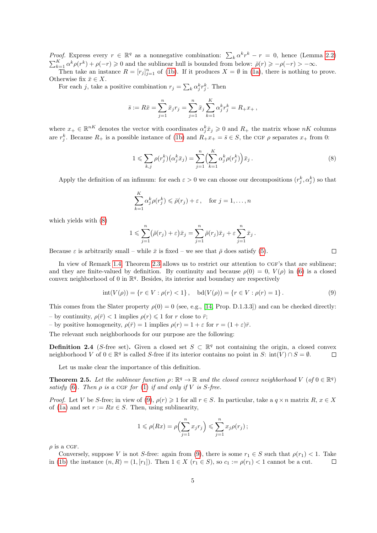*Proof.* Express every  $r \in \mathbb{R}^q$  as a nonnegative combination:  $\sum_k \alpha^k r^k - r = 0$ , hence (Lemma [2.2\)](#page-3-2)  $\sum_{k=1}^{K} \alpha^k \rho(r^k) + \rho(-r) \geq 0$  and the sublinear hull is bounded from below:  $\bar{\rho}(r) \geq -\rho(-r) > -\infty$ . Then take an instance  $R = [r_j]_{j=1}^n$  of [\(1b\)](#page-0-3). If it produces  $X = \emptyset$  in [\(1a\)](#page-0-2), there is nothing to prove.

Otherwise fix  $\bar{x} \in X$ .

For each j, take a positive combination  $r_j = \sum_k \alpha_j^k r_j^k$ . Then

$$
\bar{s} := R\bar{x} = \sum_{j=1}^{n} \bar{x}_j r_j = \sum_{j=1}^{n} \bar{x}_j \sum_{k=1}^{K} \alpha_j^k r_j^k = R_+ x_+,
$$

where  $x_+ \in \mathbb{R}^{nK}$  denotes the vector with coordinates  $\alpha_j^k \bar{x}_j \geqslant 0$  and  $R_+$  the matrix whose  $nK$  columns are  $r_j^k$ . Because  $R_+$  is a possible instance of [\(1b\)](#page-0-3) and  $R_+x_+ = \bar{s} \in S$ , the CGF  $\rho$  separates  $x_+$  from 0:

<span id="page-4-1"></span>
$$
1 \leqslant \sum_{k,j} \rho(r_j^k) \big( \alpha_j^k \bar{x}_j \big) = \sum_{j=1}^n \Big( \sum_{k=1}^K \alpha_j^k \rho(r_j^k) \Big) \bar{x}_j \,. \tag{8}
$$

Apply the definition of an infimum: for each  $\varepsilon > 0$  we can choose our decompositions  $(r_j^k, \alpha_j^k)$  so that

$$
\sum_{k=1}^{K} \alpha_j^k \rho(r_j^k) \leq \bar{\rho}(r_j) + \varepsilon, \quad \text{for } j = 1, \dots, n
$$

which yields with [\(8\)](#page-4-1)

$$
1 \leqslant \sum_{j=1}^n (\bar{\rho}(r_j) + \varepsilon) \bar{x}_j = \sum_{j=1}^n \bar{\rho}(r_j) \bar{x}_j + \varepsilon \sum_{j=1}^n \bar{x}_j.
$$

Because  $\varepsilon$  is arbitrarily small – while  $\bar{x}$  is fixed – we see that  $\bar{\rho}$  does satisfy [\(5\)](#page-1-2).

In view of Remark [1.4,](#page-2-2) Theorem [2.3](#page-3-0) allows us to restrict our attention to CGF's that are sublinear; and they are finite-valued by definition. By continuity and because  $\rho(0) = 0$ ,  $V(\rho)$  in [\(6\)](#page-2-1) is a closed convex neighborhood of 0 in  $\mathbb{R}^q$ . Besides, its interior and boundary are respectively

<span id="page-4-2"></span>
$$
int(V(\rho)) = \{r \in V : \rho(r) < 1\}, \quad bd(V(\rho)) = \{r \in V : \rho(r) = 1\}.
$$
\n<sup>(9)</sup>

This comes from the Slater property  $\rho(0) = 0$  (see, e.g., [\[14,](#page-21-8) Prop. D.1.3.3]) and can be checked directly: – by continuity,  $\rho(\bar{r}) < 1$  implies  $\rho(r) \leq 1$  for r close to  $\bar{r}$ ;

– by positive homogeneity,  $\rho(\bar{r}) = 1$  implies  $\rho(r) = 1 + \varepsilon$  for  $r = (1 + \varepsilon)\bar{r}$ .

The relevant such neighborhoods for our purpose are the following:

<span id="page-4-3"></span>**Definition 2.4** (S-free set). Given a closed set  $S \subset \mathbb{R}^q$  not containing the origin, a closed convex neighborhood V of  $0 \in \mathbb{R}^q$  is called S-free if its interior contains no point in S: int(V) ∩  $S = \emptyset$ .  $\Box$ 

Let us make clear the importance of this definition.

<span id="page-4-0"></span>**Theorem 2.5.** Let the sublinear function  $\rho \colon \mathbb{R}^q \to \mathbb{R}$  and the closed convex neighborhood V (of  $0 \in \mathbb{R}^q$ ) satisfy [\(6\)](#page-2-1). Then  $\rho$  is a CGF for [\(1\)](#page-0-0) if and only if V is S-free.

*Proof.* Let V be S-free; in view of [\(9\)](#page-4-2),  $\rho(r) \geq 1$  for all  $r \in S$ . In particular, take a  $q \times n$  matrix  $R, x \in X$ of [\(1a\)](#page-0-2) and set  $r := Rx \in S$ . Then, using sublinearity,

$$
1 \leqslant \rho(Rx) = \rho\left(\sum_{j=1}^n x_j r_j\right) \leqslant \sum_{j=1}^n x_j \rho(r_j) \, ;
$$

 $\rho$  is a CGF.

Conversely, suppose V is not S-free: again from [\(9\)](#page-4-2), there is some  $r_1 \in S$  such that  $\rho(r_1) < 1$ . Take in [\(1b\)](#page-0-3) the instance  $(n, R) = (1, [r_1])$ . Then  $1 \in X$   $(r_1 \in S)$ , so  $c_1 := \rho(r_1) < 1$  cannot be a cut.  $\Box$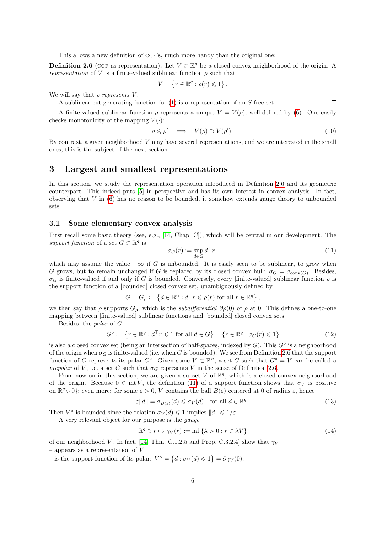This allows a new definition of CGF's, much more handy than the original one:

<span id="page-5-0"></span>**Definition 2.6** (CGF as representation). Let  $V \subset \mathbb{R}^q$  be a closed convex neighborhood of the origin. A *representation* of V is a finite-valued sublinear function  $\rho$  such that

$$
V = \{ r \in \mathbb{R}^q : \rho(r) \leq 1 \} .
$$

We will say that  $\rho$  represents V.

A sublinear cut-generating function for [\(1\)](#page-0-0) is a representation of an S-free set.  $\Box$ 

A finite-valued sublinear function  $\rho$  represents a unique  $V = V(\rho)$ , well-defined by [\(6\)](#page-2-1). One easily checks monotonicity of the mapping  $V(\cdot)$ :

<span id="page-5-6"></span>
$$
\rho \leqslant \rho' \quad \Longrightarrow \quad V(\rho) \supset V(\rho'). \tag{10}
$$

By contrast, a given neighborhood  $V$  may have several representations, and we are interested in the small ones; this is the subject of the next section.

## <span id="page-5-1"></span>3 Largest and smallest representations

In this section, we study the representation operation introduced in Definition [2.6](#page-5-0) and its geometric counterpart. This indeed puts [\[5\]](#page-21-10) in perspective and has its own interest in convex analysis. In fact, observing that  $V$  in [\(6\)](#page-2-1) has no reason to be bounded, it somehow extends gauge theory to unbounded sets.

#### 3.1 Some elementary convex analysis

First recall some basic theory (see, e.g., [\[14,](#page-21-8) Chap. C]), which will be central in our development. The support function of a set  $G \subset \mathbb{R}^q$  is

<span id="page-5-2"></span>
$$
\sigma_G(r) := \sup_{d \in G} d^{\top} r, \qquad (11)
$$

which may assume the value  $+\infty$  if G is unbounded. It is easily seen to be sublinear, to grow when G grows, but to remain unchanged if G is replaced by its closed convex hull:  $\sigma_G = \sigma_{\overline{conv}(G)}$ . Besides,  $\sigma_G$  is finite-valued if and only if G is bounded. Conversely, every [finite-valued] sublinear function  $\rho$  is the support function of a [bounded] closed convex set, unambiguously defined by

$$
G = G_{\rho} := \left\{ d \in \mathbb{R}^n : d^{\top} r \leqslant \rho(r) \text{ for all } r \in \mathbb{R}^q \right\};
$$

we then say that  $\rho$  supports  $G_{\rho}$ , which is the *subdifferential*  $\partial \rho(0)$  of  $\rho$  at 0. This defines a one-to-one mapping between [finite-valued] sublinear functions and [bounded] closed convex sets.

Besides, the polar of G

<span id="page-5-5"></span>
$$
G^{\circ} := \{ r \in \mathbb{R}^q : d^\top r \leqslant 1 \text{ for all } d \in G \} = \{ r \in \mathbb{R}^q : \sigma_G(r) \leqslant 1 \}
$$
\n
$$
(12)
$$

is also a closed convex set (being an intersection of half-spaces, indexed by  $G$ ). This  $G^{\circ}$  is a neighborhood of the origin when  $\sigma_G$  is finite-valued (i.e. when G is bounded). We see from Definition [2.6](#page-5-0) that the support function of G represents its polar  $G^{\circ}$ . Given some  $V \subset \mathbb{R}^n$ , a set G such that  $G^{\circ} = V$  can be called a prepolar of V, i.e. a set G such that  $\sigma_G$  represents V in the sense of Definition [2.6.](#page-5-0)

From now on in this section, we are given a subset V of  $\mathbb{R}^q$ , which is a closed convex neighborhood of the origin. Because  $0 \in \text{int } V$ , the definition [\(11\)](#page-5-2) of a support function shows that  $\sigma_V$  is positive on  $\mathbb{R}^q \setminus \{0\}$ ; even more: for some  $\varepsilon > 0$ , V contains the ball  $B(\varepsilon)$  centered at 0 of radius  $\varepsilon$ , hence

<span id="page-5-4"></span>
$$
\varepsilon ||d|| = \sigma_{B(\varepsilon)}(d) \leq \sigma_V(d) \quad \text{for all } d \in \mathbb{R}^q.
$$
 (13)

Then  $V^{\circ}$  is bounded since the relation  $\sigma_V(d) \leq 1$  implies  $||d|| \leq 1/\varepsilon$ .

A very relevant object for our purpose is the gauge

<span id="page-5-3"></span>
$$
\mathbb{R}^q \ni r \mapsto \gamma_V(r) := \inf \{ \lambda > 0 : r \in \lambda V \}
$$
\n(14)

of our neighborhood V. In fact, [\[14,](#page-21-8) Thm. C.1.2.5 and Prop. C.3.2.4] show that  $\gamma_V$ 

– appears as a representation of  $V$ 

- is the support function of its polar:  $V^{\circ} = \{d : \sigma_V(d) \leq 1\} = \partial \gamma_V(0)$ .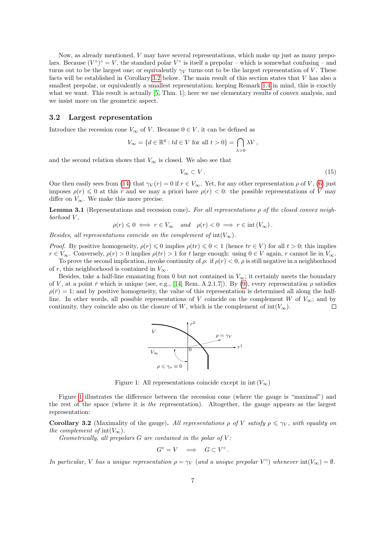Now, as already mentioned, V may have several representations, which make up just as many prepolars. Because  $(V^{\circ})^{\circ} = V$ , the standard polar  $V^{\circ}$  is itself a prepolar – which is somewhat confusing – and turns out to be the largest one; or equivalently  $\gamma_V$  turns out to be the largest representation of V. These facts will be established in Corollary [3.2](#page-6-0) below. The main result of this section states that V has also a smallest prepolar, or equivalently a smallest representation; keeping Remark [1.4](#page-2-2) in mind, this is exactly what we want. This result is actually [\[5,](#page-21-10) Thm. 1]; here we use elementary results of convex analysis, and we insist more on the geometric aspect.

#### 3.2 Largest representation

Introduce the recession cone  $V_{\infty}$  of V. Because  $0 \in V$ , it can be defined as

$$
V_{\infty} = \{ d \in \mathbb{R}^q : td \in V \text{ for all } t > 0 \} = \bigcap_{\lambda > 0} \lambda V,
$$

and the second relation shows that  $V_{\infty}$  is closed. We also see that

$$
V_{\infty} \subset V. \tag{15}
$$

One then easily sees from [\(14\)](#page-5-3) that  $\gamma_V(r) = 0$  if  $r \in V_\infty$ . Yet, for any other representation  $\rho$  of V, [\(6\)](#page-2-1) just imposes  $\rho(r) \leq 0$  at this r and we may a priori have  $\rho(r) < 0$ : the possible representations of V may differ on  $V_{\infty}$ . We make this more precise.

<span id="page-6-2"></span>**Lemma 3.1** (Representations and recession cone). For all representations  $\rho$  of the closed convex neighborhood V ,

$$
\rho(r) \leq 0 \iff r \in V_{\infty} \quad and \quad \rho(r) < 0 \implies r \in int(V_{\infty}).
$$

Besides, all representations coincide on the complement of  $\text{int}(V_\infty)$ .

*Proof.* By positive homogeneity,  $\rho(r) \leq 0$  implies  $\rho(tr) \leq 0 < 1$  (hence  $tr \in V$ ) for all  $t > 0$ ; this implies  $r \in V_{\infty}$ . Conversely,  $\rho(r) > 0$  implies  $\rho(tr) > 1$  for t large enough: using  $0 \in V$  again, r cannot lie in  $V_{\infty}$ .

To prove the second implication, invoke continuity of  $\rho$ : if  $\rho(r) < 0$ ,  $\rho$  is still negative in a neighborhood of r, this neighborhood is contained in  $V_{\infty}$ .

Besides, take a half-line emanating from 0 but not contained in  $V_{\infty}$ ; it certainly meets the boundary of V, at a point  $\bar{r}$  which is unique (see, e.g., [\[14,](#page-21-8) Rem. A.2.1.7]). By [\(9\)](#page-4-2), every representation  $\rho$  satisfies  $\rho(\bar{r}) = 1$ ; and by positive homogeneity, the value of this representation is determined all along the halfline. In other words, all possible representations of V coincide on the complement W of  $V_{\infty}$ ; and by continuity, they coincide also on the closure of W, which is the complement of  $int(V_{\infty})$ .  $\Box$ 



<span id="page-6-1"></span>Figure 1: All representations coincide except in  $int(V_{\infty})$ 

Figure [1](#page-6-1) illustrates the difference between the recession cone (where the gauge is "maximal") and the rest of the space (where it is the representation). Altogether, the gauge appears as the largest representation:

<span id="page-6-0"></span>**Corollary 3.2** (Maximality of the gauge). All representations  $\rho$  of V satisfy  $\rho \leq \gamma_V$ , with equality on the complement of  $int(V_{\infty})$ .

Geometrically, all prepolars  $G$  are contained in the polar of  $V$ :

$$
G^{\circ} = V \quad \Longrightarrow \quad G \subset V^{\circ} \, .
$$

In particular, V has a unique representation  $\rho = \gamma_V$  (and a unique prepolar  $V^{\circ}$ ) whenever  $\text{int}(V_{\infty}) = \emptyset$ .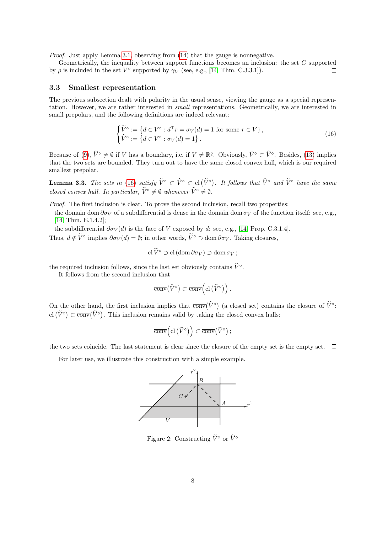Proof. Just apply Lemma [3.1,](#page-6-2) observing from [\(14\)](#page-5-3) that the gauge is nonnegative.

Geometrically, the inequality between support functions becomes an inclusion: the set G supported by  $\rho$  is included in the set  $V^{\circ}$  supported by  $\gamma_V$  (see, e.g., [\[14,](#page-21-8) Thm. C.3.3.1]).  $\Box$ 

#### 3.3 Smallest representation

The previous subsection dealt with polarity in the usual sense, viewing the gauge as a special representation. However, we are rather interested in small representations. Geometrically, we are interested in small prepolars, and the following definitions are indeed relevant:

<span id="page-7-0"></span>
$$
\begin{cases}\n\widetilde{V}^{\circ} := \left\{ d \in V^{\circ} : d^{\top}r = \sigma_V(d) = 1 \text{ for some } r \in V \right\}, \\
\widehat{V}^{\circ} := \left\{ d \in V^{\circ} : \sigma_V(d) = 1 \right\}.\n\end{cases}
$$
\n(16)

Because of [\(9\)](#page-4-2),  $\hat{V}^{\circ} \neq \emptyset$  if V has a boundary, i.e. if  $V \neq \mathbb{R}^{q}$ . Obviously,  $\tilde{V}^{\circ} \subset \hat{V}^{\circ}$ . Besides, [\(13\)](#page-5-4) implies that the two sets are bounded. They turn out to have the same closed convex hull, which is our required smallest prepolar.

<span id="page-7-2"></span>**Lemma 3.3.** The sets in [\(16\)](#page-7-0) satisfy  $\tilde{V}^{\circ} \subset \hat{V}^{\circ} \subset cl(\tilde{V}^{\circ})$ . It follows that  $\hat{V}^{\circ}$  and  $\tilde{V}^{\circ}$  have the same closed convex hull. In particular,  $\widetilde{V}^{\circ} \neq \emptyset$  whenever  $\widehat{V}^{\circ} \neq \emptyset$ .

Proof. The first inclusion is clear. To prove the second inclusion, recall two properties:

– the domain dom  $\partial \sigma_V$  of a subdifferential is dense in the domain dom  $\sigma_V$  of the function itself: see, e.g., [\[14,](#page-21-8) Thm. E.1.4.2];

– the subdifferential  $\partial \sigma_V(d)$  is the face of V exposed by d: see, e.g., [\[14,](#page-21-8) Prop. C.3.1.4].

Thus,  $d \notin \tilde{V}^{\circ}$  implies  $\partial \sigma_V(d) = \emptyset$ ; in other words,  $\tilde{V}^{\circ} \supset \text{dom } \partial \sigma_V$ . Taking closures,

$$
\operatorname{cl}\widetilde{V}^{\circ}\supset\operatorname{cl}\left(\operatorname{dom}\partial\sigma_V\right)\supset\operatorname{dom}\sigma_V;
$$

the required inclusion follows, since the last set obviously contains  $\hat{V}^{\circ}$ .

It follows from the second inclusion that

$$
\overline{\operatorname{conv}}(\widehat{V}^{\circ}) \subset \overline{\operatorname{conv}}\Big(\operatorname{cl}\big(\widetilde{V}^{\circ}\big)\Big) .
$$

On the other hand, the first inclusion implies that  $\overline{conv}(\widehat{V}^{\circ})$  (a closed set) contains the closure of  $\widetilde{V}^{\circ}$ : cl  $(\tilde{V}^{\circ}) \subset \overline{conv}(\hat{V}^{\circ})$ . This inclusion remains valid by taking the closed convex hulls:

$$
\overline{\operatorname{conv}}\Big(\mathrm{cl}\left(\widetilde{V}^\circ\right)\Big)\subset\overline{\operatorname{conv}}\big(\widehat{V}^\circ\big)\,;
$$

the two sets coincide. The last statement is clear since the closure of the empty set is the empty set.  $\Box$ 

For later use, we illustrate this construction with a simple example.



<span id="page-7-1"></span>Figure 2: Constructing  $\widetilde{V}^{\circ}$  or  $\widehat{V}^{\circ}$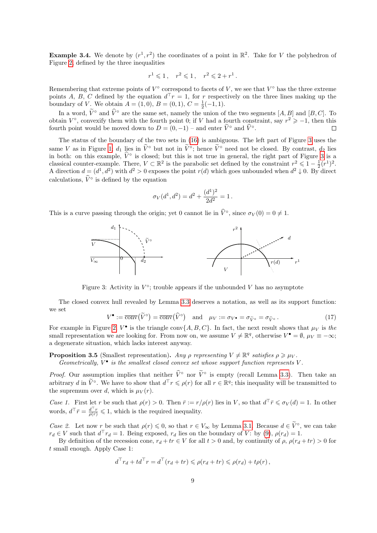<span id="page-8-3"></span>**Example 3.4.** We denote by  $(r^1, r^2)$  the coordinates of a point in  $\mathbb{R}^2$ . Take for V the polyhedron of Figure [2,](#page-7-1) defined by the three inequalities

$$
r^1 \leq 1
$$
,  $r^2 \leq 1$ ,  $r^2 \leq 2 + r^1$ .

Remembering that extreme points of  $V^{\circ}$  correspond to facets of V, we see that  $V^{\circ}$  has the three extreme points A, B, C defined by the equation  $d^{\top}r = 1$ , for r respectively on the three lines making up the boundary of V. We obtain  $A = (1,0), B = (0,1), C = \frac{1}{2}(-1,1)$ .

In a word,  $\tilde{V}^{\circ}$  and  $\hat{V}^{\circ}$  are the same set, namely the union of the two segments [A, B] and [B, C]. To obtain  $V^{\circ}$ , convexify them with the fourth point 0; if V had a fourth constraint, say  $r^2 \geq -1$ , then this fourth point would be moved down to  $D = (0, -1)$  – and enter  $\tilde{V}^{\circ}$  and  $\hat{V}^{\circ}$ .  $\Box$ 

The status of the boundary of the two sets in [\(16\)](#page-7-0) is ambiguous. The left part of Figure [3](#page-8-0) uses the same V as in Figure [1;](#page-6-1)  $d_1$  lies in  $\hat{V}^{\circ}$  but not in  $\hat{V}^{\circ}$ ; hence  $\hat{V}^{\circ}$  need not be closed. By contrast,  $d_2$  lies in both: on this example,  $\hat{V}^{\circ}$  is closed; but this is not true in general, the right part of Figure [3](#page-8-0) is a classical counter-example. There,  $V \subset \mathbb{R}^2$  is the parabolic set defined by the constraint  $r^2 \leq 1 - \frac{1}{2}(r^1)^2$ . A direction  $d = (d^1, d^2)$  with  $d^2 > 0$  exposes the point  $r(d)$  which goes unbounded when  $d^2 \downarrow 0$ . By direct calculations,  $\hat{V}^{\circ}$  is defined by the equation

$$
\sigma_V(d^1, d^2) = d^2 + \frac{(d^1)^2}{2d^2} = 1.
$$

This is a curve passing through the origin; yet 0 cannot lie in  $\hat{V}^{\circ}$ , since  $\sigma_V(0) = 0 \neq 1$ .



<span id="page-8-0"></span>Figure 3: Activity in  $V^{\circ}$ ; trouble appears if the unbounded V has no asymptote

The closed convex hull revealed by Lemma [3.3](#page-7-2) deserves a notation, as well as its support function: we set

<span id="page-8-2"></span>
$$
V^{\bullet} := \overline{\text{conv}}(\widetilde{V}^{\circ}) = \overline{\text{conv}}(\widehat{V}^{\circ}) \quad \text{and} \quad \mu_{V} := \sigma_{V^{\bullet}} = \sigma_{\widetilde{V}^{\circ}} = \sigma_{\widehat{V}^{\circ}}.
$$
 (17)

For example in Figure [2,](#page-7-1)  $V^{\bullet}$  is the triangle conv $\{A, B, C\}$ . In fact, the next result shows that  $\mu_V$  is the small representation we are looking for. From now on, we assume  $V \neq \mathbb{R}^q$ , otherwise  $V^{\bullet} = \emptyset$ ,  $\mu_V \equiv -\infty$ ; a degenerate situation, which lacks interest anyway.

<span id="page-8-1"></span>**Proposition 3.5** (Smallest representation). Any  $\rho$  representing  $V \neq \mathbb{R}^q$  satisfies  $\rho \geq \mu_V$ .

Geometrically,  $V^{\bullet}$  is the smallest closed convex set whose support function represents V.

*Proof.* Our assumption implies that neither  $\hat{V}^{\circ}$  nor  $\hat{V}^{\circ}$  is empty (recall Lemma [3.3\)](#page-7-2). Then take an arbitrary d in  $\tilde{V}^{\circ}$ . We have to show that  $d^{\top}r \leq \rho(r)$  for all  $r \in \mathbb{R}^{q}$ ; this inequality will be transmitted to the supremum over d, which is  $\mu_V(r)$ .

Case 1. First let r be such that  $\rho(r) > 0$ . Then  $\bar{r} := r/\rho(r)$  lies in V, so that  $d^{\top} \bar{r} \leq \sigma_V(d) = 1$ . In other words,  $d^{\top} \bar{r} = \frac{d^{\top} r}{\rho(r)} \leq 1$ , which is the required inequality.

Case 2. Let now r be such that  $\rho(r) \leq 0$ , so that  $r \in V_{\infty}$  by Lemma [3.1.](#page-6-2) Because  $d \in V^{\circ}$ , we can take  $r_d \in V$  such that  $d^{\top} r_d = 1$ . Being exposed,  $r_d$  lies on the boundary of V: by [\(9\)](#page-4-2),  $\rho(r_d) = 1$ .

By definition of the recession cone,  $r_d + tr \in V$  for all  $t > 0$  and, by continuity of  $\rho$ ,  $\rho(r_d + tr) > 0$  for t small enough. Apply Case 1:

$$
d^{\top}r_d + td^{\top}r = d^{\top}(r_d + tr) \leq \rho(r_d + tr) \leq \rho(r_d) + t\rho(r),
$$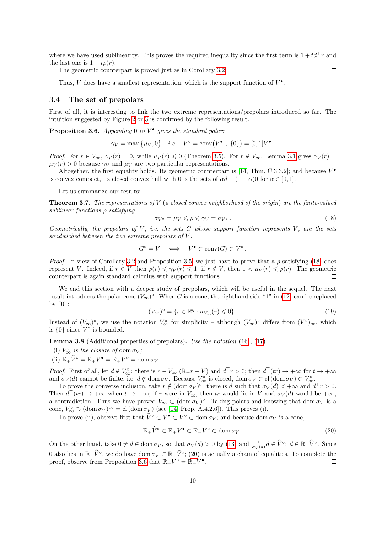where we have used sublinearity. This proves the required inequality since the first term is  $1 + td<sup>T</sup>r$  and the last one is  $1 + t\rho(r)$ .

The geometric counterpart is proved just as in Corollary [3.2.](#page-6-0)

Thus, V does have a smallest representation, which is the support function of  $V^{\bullet}$ .

#### 3.4 The set of prepolars

First of all, it is interesting to link the two extreme representations/prepolars introduced so far. The intuition suggested by Figure [2](#page-7-1) or [3](#page-8-0) is confirmed by the following result.

<span id="page-9-2"></span>**Proposition 3.6.** Appending 0 to  $V^{\bullet}$  gives the standard polar:

$$
\gamma_V = \max \{ \mu_V, 0 \}
$$
 i.e.  $V^\circ = \overline{\text{conv}}(V^\bullet \cup \{0\}) = [0, 1]V^\bullet$ 

*Proof.* For  $r \in V_{\infty}$ ,  $\gamma_V(r) = 0$ , while  $\mu_V(r) \leq 0$  (Theorem [3.5\)](#page-8-1). For  $r \notin V_{\infty}$ , Lemma [3.1](#page-6-2) gives  $\gamma_V(r) =$  $\mu_V(r) > 0$  because  $\gamma_V$  and  $\mu_V$  are two particular representations.

Altogether, the first equality holds. Its geometric counterpart is [\[14,](#page-21-8) Thm. C.3.3.2]; and because  $V^{\bullet}$ is convex compact, its closed convex hull with 0 is the sets of  $\alpha d + (1 - \alpha)0$  for  $\alpha \in [0, 1]$ .  $\Box$ 

Let us summarize our results:

<span id="page-9-5"></span>**Theorem 3.7.** The representations of V (a closed convex neighborhood of the origin) are the finite-valued sublinear functions  $\rho$  satisfying

<span id="page-9-0"></span>
$$
\sigma_V \bullet = \mu_V \leqslant \rho \leqslant \gamma_V = \sigma_{V^{\circ}} \,. \tag{18}
$$

.

 $\Box$ 

Geometrically, the prepolars of  $V$ , i.e. the sets  $G$  whose support function represents  $V$ , are the sets sandwiched between the two extreme prepolars of  $V$ :

$$
G^{\circ} = V \iff V^{\bullet} \subset \overline{\text{conv}}(G) \subset V^{\circ}.
$$

*Proof.* In view of Corollary [3.2](#page-6-0) and Proposition [3.5,](#page-8-1) we just have to prove that a  $\rho$  satisfying [\(18\)](#page-9-0) does represent V. Indeed, if  $r \in V$  then  $\rho(r) \leq \gamma_V(r) \leq 1$ ; if  $r \notin V$ , then  $1 < \mu_V(r) \leq \rho(r)$ . The geometric counterpart is again standard calculus with support functions.  $\Box$ 

We end this section with a deeper study of prepolars, which will be useful in the sequel. The next result introduces the polar cone  $(V_{\infty})^{\circ}$ . When G is a cone, the righthand side "1" in [\(12\)](#page-5-5) can be replaced by "0":

<span id="page-9-4"></span>
$$
(V_{\infty})^{\circ} = \{ r \in \mathbb{R}^q : \sigma_{V_{\infty}}(r) \leq 0 \}.
$$
\n(19)

Instead of  $(V_{\infty})^{\circ}$ , we use the notation  $V_{\infty}^{\circ}$  for simplicity – although  $(V_{\infty})^{\circ}$  differs from  $(V^{\circ})_{\infty}$ , which is  $\{0\}$  since  $V^{\circ}$  is bounded.

<span id="page-9-3"></span>Lemma 3.8 (Additional properties of prepolars). Use the notation [\(16\)](#page-7-0), [\(17\)](#page-8-2).

- (i)  $V_{\infty}^{\circ}$  is the closure of dom  $\sigma_V$ ;
- (ii)  $\mathbb{R}_+ \widehat{V}^{\circ} = \mathbb{R}_+ V^{\bullet} = \mathbb{R}_+ V^{\circ} = \text{dom } \sigma_V.$

*Proof.* First of all, let  $d \notin V^{\circ}_{\infty}$ : there is  $r \in V_{\infty} (\mathbb{R}_+ r \in V)$  and  $d^{\top} r > 0$ ; then  $d^{\top}(tr) \to +\infty$  for  $t \to +\infty$ and  $\sigma_V(d)$  cannot be finite, i.e.  $d \notin \text{dom } \sigma_V$ . Because  $V^{\circ}_{\infty}$  is closed,  $\text{dom } \sigma_V \subset \text{cl }(\text{dom } \sigma_V) \subset V^{\circ}_{\infty}$ .

To prove the converse inclusion, take  $r \notin (\text{dom }\sigma_V)^{\circ}$ : there is d such that  $\sigma_V(d) < +\infty$  and  $d^{\top}r > 0$ . Then  $d^{\top}(tr) \to +\infty$  when  $t \to +\infty$ ; if r were in  $V_{\infty}$ , then tr would lie in V and  $\sigma_V(d)$  would be  $+\infty$ , a contradiction. Thus we have proved  $V_{\infty} \subset (\text{dom }\sigma_V)^{\circ}$ . Taking polars and knowing that  $\text{dom }\sigma_V$  is a cone,  $V_{\infty}^{\circ} \supset (\text{dom }\sigma_V)^{\circ \circ} = \text{cl }(\text{dom }\sigma_V)$  (see [\[14,](#page-21-8) Prop. A.4.2.6]). This proves (i).

To prove (ii), observe first that  $\hat{V}^{\circ} \subset V^{\bullet} \subset V^{\circ} \subset \text{dom } \sigma_V$ ; and because dom  $\sigma_V$  is a cone,

<span id="page-9-1"></span>
$$
\mathbb{R}_{+}\widehat{V}^{\circ} \subset \mathbb{R}_{+}V^{\bullet} \subset \mathbb{R}_{+}V^{\circ} \subset \text{dom}\,\sigma_{V} \,.
$$

On the other hand, take  $0 \neq d \in \text{dom } \sigma_V$ , so that  $\sigma_V(d) > 0$  by [\(13\)](#page-5-4) and  $\frac{1}{\sigma_V(d)} d \in \widehat{V}^{\circ}$ :  $d \in \mathbb{R}_+ \widehat{V}^{\circ}$ . Since 0 also lies in  $\mathbb{R}_+ \hat{V}^{\circ}$ , we do have dom  $\sigma_V \subset \mathbb{R}_+ \hat{V}^{\circ}$ ; [\(20\)](#page-9-1) is actually a chain of equalities. To complete the proof, observe from Proposition [3.6](#page-9-2) that  $\mathbb{R}_+ V^{\circ} = \mathbb{R}_+ V^{\bullet}$ .  $\Box$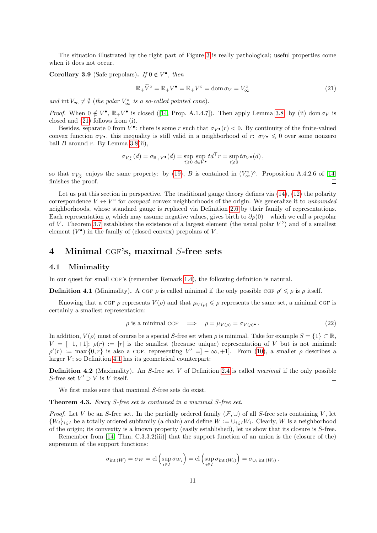The situation illustrated by the right part of Figure [3](#page-8-0) is really pathological; useful properties come when it does not occur.

<span id="page-10-4"></span>Corollary 3.9 (Safe prepolars). If  $0 \notin V^{\bullet}$ , then

<span id="page-10-1"></span>
$$
\mathbb{R}_{+}\hat{V}^{\circ} = \mathbb{R}_{+}V^{\bullet} = \mathbb{R}_{+}V^{\circ} = \text{dom}\,\sigma_{V} = V_{\infty}^{\circ}
$$
\n
$$
(21)
$$

and int  $V_{\infty} \neq \emptyset$  (the polar  $V_{\infty}^{\circ}$  is a so-called pointed cone).

*Proof.* When  $0 \notin V^{\bullet}$ ,  $\mathbb{R}_+ V^{\bullet}$  is closed ([\[14,](#page-21-8) Prop. A.1.4.7]). Then apply Lemma [3.8:](#page-9-3) by (ii) dom  $\sigma_V$  is closed and [\(21\)](#page-10-1) follows from (i).

Besides, separate 0 from  $V^{\bullet}$ : there is some r such that  $\sigma_{V^{\bullet}}(r) < 0$ . By continuity of the finite-valued convex function  $\sigma_{V^{\bullet}}$ , this inequality is still valid in a neighborhood of r:  $\sigma_{V^{\bullet}} \leq 0$  over some nonzero ball B around r. By Lemma  $3.8(ii)$ ,

$$
\sigma_{V^{\circ}_{\infty}}(d)=\sigma_{\mathbb{R}_+V^{\bullet}}(d)=\sup_{t\geqslant 0}\sup_{d\in V^{\bullet}}td^{\top}r=\sup_{t\geqslant 0}t\sigma_{V^{\bullet}}(d)\,,
$$

so that  $\sigma_{V^{\circ}_{\infty}}$  enjoys the same property: by [\(19\)](#page-9-4), B is contained in  $(V^{\circ}_{\infty})^{\circ}$ . Proposition A.4.2.6 of [\[14\]](#page-21-8) finishes the proof.  $\Box$ 

Let us put this section in perspective. The traditional gauge theory defines via  $(14)$ ,  $(12)$  the polarity correspondence  $V \leftrightarrow V^{\circ}$  for *compact* convex neighborhoods of the origin. We generalize it to *unbounded* neighborhoods, whose standard gauge is replaced via Definition [2.6](#page-5-0) by their family of representations. Each representation  $\rho$ , which may assume negative values, gives birth to  $\partial \rho(0)$  – which we call a prepolar of V. Theorem [3.7](#page-9-5) establishes the existence of a largest element (the usual polar  $V^{\circ}$ ) and of a smallest element  $(V^{\bullet})$  in the family of (closed convex) prepolars of V.

## <span id="page-10-0"></span>4 Minimal CGF's, maximal S-free sets

#### 4.1 Minimality

In our quest for small CGF's (remember Remark [1.4\)](#page-2-2), the following definition is natural.

<span id="page-10-2"></span>**Definition 4.1** (Minimality). A CGF  $\rho$  is called minimal if the only possible CGF  $\rho' \leq \rho$  is  $\rho$  itself.  $\Box$ 

Knowing that a CGF  $\rho$  represents  $V(\rho)$  and that  $\mu_{V(\rho)} \leq \rho$  represents the same set, a minimal CGF is certainly a smallest representation:

<span id="page-10-3"></span>
$$
\rho \text{ is a minimal CGF} \quad \Longrightarrow \quad \rho = \mu_{V(\rho)} = \sigma_{V(\rho)} \tag{22}
$$

In addition,  $V(\rho)$  must of course be a special S-free set when  $\rho$  is minimal. Take for example  $S = \{1\} \subset \mathbb{R}$ ,  $V = [-1, +1]; \rho(r) := |r|$  is the smallest (because unique) representation of V but is not minimal:  $\rho'(r) := \max\{0, r\}$  is also a CGF, representing  $V' = ]-\infty, +1]$ . From [\(10\)](#page-5-6), a smaller  $\rho$  describes a larger  $V$ ; so Definition [4.1](#page-10-2) has its geometrical counterpart:

**Definition 4.2** (Maximality). An  $S$ -free set  $V$  of Definition [2.4](#page-4-3) is called *maximal* if the only possible S-free set  $V' \supset V$  is V itself.  $\Box$ 

We first make sure that maximal S-free sets do exist.

Theorem 4.3. Every S-free set is contained in a maximal S-free set.

*Proof.* Let V be an S-free set. In the partially ordered family  $(\mathcal{F}, \cup)$  of all S-free sets containing V, let  $\{W_i\}_{i\in I}$  be a totally ordered subfamily (a chain) and define  $W := \cup_{i\in I} W_i$ . Clearly, W is a neighborhood of the origin; its convexity is a known property (easily established), let us show that its closure is S-free.

Remember from [\[14,](#page-21-8) Thm. C.3.3.2(iii)] that the support function of an union is the (closure of the) supremum of the support functions:

$$
\sigma_{\text{int}\,(W)} = \sigma_W = \text{cl}\left(\sup_{i \in I} \sigma_{W_i}\right) = \text{cl}\left(\sup_{i \in I} \sigma_{\text{int}\,(W_i)}\right) = \sigma_{\cup_i \text{ int}\,(W_i)}.
$$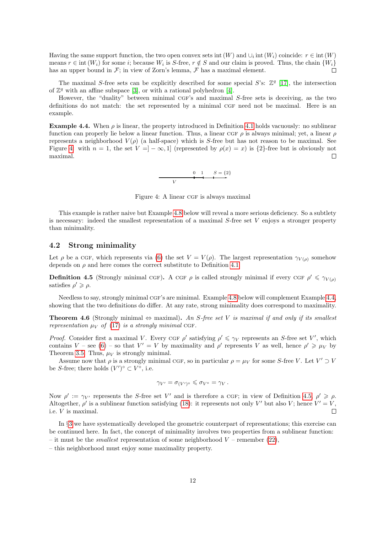Having the same support function, the two open convex sets int  $(W)$  and  $\cup_i$  int  $(W_i)$  coincide:  $r \in \text{int } (W)$ means  $r \in \text{int}(W_i)$  for some i; because  $W_i$  is S-free,  $r \notin S$  and our claim is proved. Thus, the chain  $\{W_i\}$ has an upper bound in  $\mathcal{F}$ ; in view of Zorn's lemma,  $\mathcal{F}$  has a maximal element.  $\Box$ 

The maximal S-free sets can be explicitly described for some special S's:  $\mathbb{Z}^q$  [\[17\]](#page-22-2), the intersection of  $\mathbb{Z}^q$  with an affine subspace [\[3\]](#page-21-6), or with a rational polyhedron [\[4\]](#page-21-7).

However, the "duality" between minimal CGF's and maximal S-free sets is deceiving, as the two definitions do not match: the set represented by a minimal CGF need not be maximal. Here is an example.

<span id="page-11-1"></span>**Example 4.4.** When  $\rho$  is linear, the property introduced in Definition [4.1](#page-10-2) holds vacuously: no sublinear function can properly lie below a linear function. Thus, a linear CGF  $\rho$  is always minimal; yet, a linear  $\rho$ represents a neighborhood  $V(\rho)$  (a half-space) which is S-free but has not reason to be maximal. See Figure [4:](#page-11-0) with  $n = 1$ , the set  $V = ]-\infty,1]$  (represented by  $\rho(x) = x$ ) is  $\{2\}$ -free but is obviously not maximal.  $\Box$ 

<span id="page-11-0"></span>

Figure 4: A linear CGF is always maximal

This example is rather naive but Example [4.8](#page-12-0) below will reveal a more serious deficiency. So a subtlety is necessary: indeed the smallest representation of a maximal  $S$ -free set V enjoys a stronger property than minimality.

## 4.2 Strong minimality

Let  $\rho$  be a CGF, which represents via [\(6\)](#page-2-1) the set  $V = V(\rho)$ . The largest representation  $\gamma_{V(\rho)}$  somehow depends on  $\rho$  and here comes the correct substitute to Definition [4.1.](#page-10-2)

<span id="page-11-2"></span>**Definition 4.5** (Strongly minimal CGF). A CGF  $\rho$  is called strongly minimal if every CGF  $\rho' \leq \gamma_{V(\rho)}$ satisfies  $\rho' \geqslant \rho$ .

Needless to say, strongly minimal CGF's are minimal. Example [4.8](#page-12-0) below will complement Example [4.4,](#page-11-1) showing that the two definitions do differ. At any rate, strong minimality does correspond to maximality.

<span id="page-11-3"></span>**Theorem 4.6** (Strongly minimal  $\Leftrightarrow$  maximal). An S-free set V is maximal if and only if its smallest representation  $\mu_V$  of [\(17\)](#page-8-2) is a strongly minimal CGF.

Proof. Consider first a maximal V. Every CGF  $\rho'$  satisfying  $\rho' \leq \gamma_V$  represents an S-free set V', which contains V – see [\(6\)](#page-2-1) – so that  $V' = V$  by maximality and  $\rho'$  represents V as well, hence  $\rho' \geq \mu_V$  by Theorem [3.5.](#page-8-1) Thus,  $\mu_V$  is strongly minimal.

Assume now that  $\rho$  is a strongly minimal CGF, so in particular  $\rho = \mu_V$  for some S-free V. Let  $V' \supset V$ be S-free; there holds  $(V')^{\circ} \subset V^{\circ}$ , i.e.

$$
\gamma_{V'} = \sigma_{(V')^{\circ}} \leq \sigma_{V^{\circ}} = \gamma_V.
$$

Now  $\rho' := \gamma_{V'}$  represents the S-free set V' and is therefore a CGF; in view of Definition [4.5,](#page-11-2)  $\rho' \geq \rho$ . Altogether,  $\rho'$  is a sublinear function satisfying [\(18\)](#page-9-0): it represents not only V' but also V; hence  $V' = V$ , i.e. V is maximal.  $\Box$ 

In §[3](#page-5-1) we have systematically developed the geometric counterpart of representations; this exercise can be continued here. In fact, the concept of minimality involves two properties from a sublinear function: – it must be the *smallest* representation of some neighborhood  $V$  – remember [\(22\)](#page-10-3),

– this neighborhood must enjoy some maximality property.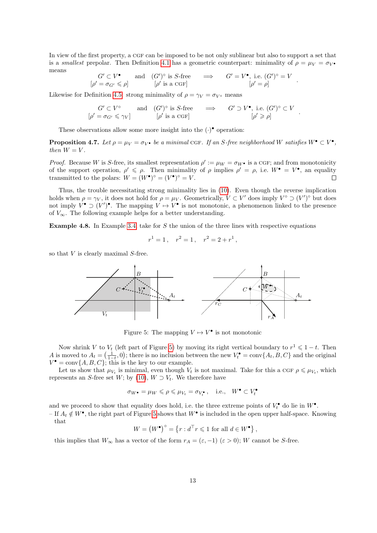In view of the first property, a CGF can be imposed to be not only sublinear but also to support a set that is a smallest prepolar. Then Definition [4.1](#page-10-2) has a geometric counterpart: minimality of  $\rho = \mu_V = \sigma_V \cdot \sigma_V$ means

$$
G' \subset V^{\bullet}
$$
 and  $(G')^{\circ}$  is *S*-free  $\implies$   $G' = V^{\bullet}$ , i.e.  $(G')^{\circ} = V$   
 $[\rho' = \sigma_{G'} \le \rho]$   $[\rho' \text{ is a CGF}]$   $[\rho' = \rho]$ .

Likewise for Definition [4.5:](#page-11-2) strong minimality of  $\rho = \gamma_V = \sigma_V \circ$  means

$$
G' \subset V^{\circ}
$$
 and  $(G')^{\circ}$  is *S*-free  $\implies$   $G' \supset V^{\bullet}$ , i.e.  $(G')^{\circ} \subset V$   
\n $[\rho' = \sigma_{G'} \le \gamma_V]$   $[\rho' \text{ is a CGF}]$   $[\rho' \ge \rho]$ 

.

These observations allow some more insight into the  $(\cdot)$ <sup>•</sup> operation:

<span id="page-12-2"></span>**Proposition 4.7.** Let  $\rho = \mu_V = \sigma_V \bullet$  be a minimal CGF. If an S-free neighborhood W satisfies  $W^{\bullet} \subset V^{\bullet}$ , then  $W = V$ .

*Proof.* Because W is S-free, its smallest representation  $\rho' := \mu_W = \sigma_W \bullet$  is a CGF; and from monotonicity of the support operation,  $\rho' \leq \rho$ . Then minimality of  $\rho$  implies  $\rho' = \rho$ , i.e.  $W^{\bullet} = V^{\bullet}$ , an equality transmitted to the polars:  $W = (W^{\bullet})^{\circ} = (V^{\bullet})^{\circ} = V$ .  $\Box$ 

Thus, the trouble necessitating strong minimality lies in [\(10\)](#page-5-6). Even though the reverse implication holds when  $\rho = \gamma_V$ , it does not hold for  $\rho = \mu_V$ . Geometrically,  $V \subset V'$  does imply  $V^{\circ} \supset (V')^{\circ}$  but does not imply  $V^{\bullet} \supset (V')^{\bullet}$ . The mapping  $V \mapsto V^{\bullet}$  is not monotonic, a phenomenon linked to the presence of  $V_{\infty}$ . The following example helps for a better understanding.

<span id="page-12-0"></span>**Example 4.8.** In Example [3.4,](#page-8-3) take for  $S$  the union of the three lines with respective equations

$$
r^1 = 1, \quad r^2 = 1, \quad r^2 = 2 + r^1,
$$

so that  $V$  is clearly maximal  $S$ -free.



<span id="page-12-1"></span>Figure 5: The mapping  $V \mapsto V^{\bullet}$  is not monotonic

Now shrink V to  $V_t$  (left part of Figure [5\)](#page-12-1) by moving its right vertical boundary to  $r^1 \leq 1-t$ . Then A is moved to  $A_t = \left(\frac{1}{1-t}, 0\right)$ ; there is no inclusion between the new  $V_t^{\bullet} = \text{conv}\{A_t, B, C\}$  and the original  $V^{\bullet} = \text{conv}\{A, B, C\}$ ; this is the key to our example.

Let us show that  $\mu_{V_t}$  is minimal, even though  $V_t$  is not maximal. Take for this a CGF  $\rho \leq \mu_{V_t}$ , which represents an S-free set W; by [\(10\)](#page-5-6),  $W \supset V_t$ . We therefore have

$$
\sigma_{W^{\bullet}} = \mu_W \leqslant \rho \leqslant \mu_{V_t} = \sigma_{V_t^{\bullet}}, \quad \text{i.e.,} \quad W^{\bullet} \subset V_t^{\bullet}
$$

and we proceed to show that equality does hold, i.e. the three extreme points of  $V_t^{\bullet}$  do lie in  $W^{\bullet}$ .

– If  $A_t \notin W^{\bullet}$ , the right part of Figure [5](#page-12-1) shows that  $W^{\bullet}$  is included in the open upper half-space. Knowing that

$$
W = (W^{\bullet})^{\circ} = \{r : d^{\top} r \leq 1 \text{ for all } d \in W^{\bullet}\},
$$

this implies that  $W_{\infty}$  has a vector of the form  $r_A = (\varepsilon, -1)$   $(\varepsilon > 0)$ ; W cannot be S-free.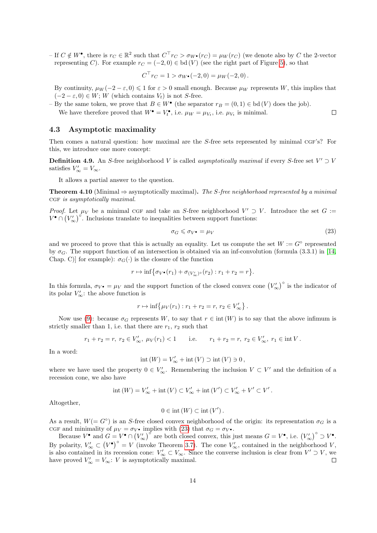– If  $C \notin W^{\bullet}$ , there is  $r_C \in \mathbb{R}^2$  such that  $C^{\top} r_C > \sigma_{W^{\bullet}}(r_C) = \mu_W(r_C)$  (we denote also by C the 2-vector representing C). For example  $r_C = (-2, 0) \in bd(V)$  (see the right part of Figure [5\)](#page-12-1), so that

$$
C^{\top}r_C = 1 > \sigma_W \cdot (-2,0) = \mu_W(-2,0).
$$

By continuity,  $\mu_W(-2-\varepsilon,0) \leq 1$  for  $\varepsilon > 0$  small enough. Because  $\mu_W$  represents W, this implies that  $(-2 - \varepsilon, 0) \in W$ ; W (which contains  $V_t$ ) is not S-free.

- By the same token, we prove that  $B \in W^{\bullet}$  (the separator  $r_B = (0, 1) \in bd(V)$  does the job). We have therefore proved that  $W^{\bullet} = V_t^{\bullet}$ , i.e.  $\mu_W = \mu_{V_t}$ , i.e.  $\mu_{V_t}$  is minimal.

#### 4.3 Asymptotic maximality

Then comes a natural question: how maximal are the S-free sets represented by minimal CGF's? For this, we introduce one more concept:

**Definition 4.9.** An S-free neighborhood V is called asymptotically maximal if every S-free set  $V' \supset V$ satisfies  $V'_{\infty} = V_{\infty}$ .

It allows a partial answer to the question.

<span id="page-13-1"></span>**Theorem 4.10** (Minimal  $\Rightarrow$  asymptotically maximal). The S-free neighborhood represented by a minimal CGF is asymptotically maximal.

*Proof.* Let  $\mu_V$  be a minimal CGF and take an S-free neighborhood  $V' \supset V$ . Introduce the set  $G :=$  $V^{\bullet} \cap (V'_{\infty})^{\circ}$ . Inclusions translate to inequalities between support functions:

<span id="page-13-0"></span>
$$
\sigma_G \leqslant \sigma_V \bullet = \mu_V \tag{23}
$$

 $\Box$ 

and we proceed to prove that this is actually an equality. Let us compute the set  $W := G^{\circ}$  represented by  $\sigma_G$ . The support function of an intersection is obtained via an inf-convolution (formula (3.3.1) in [\[14,](#page-21-8) Chap. C)] for example):  $\sigma_G(\cdot)$  is the closure of the function

$$
r \mapsto \inf \big\{ \sigma_{V^{\bullet}}(r_1) + \sigma_{(V'_{\infty})^{\circ}}(r_2) : r_1 + r_2 = r \big\}.
$$

In this formula,  $\sigma_{V} \bullet = \mu_V$  and the support function of the closed convex cone  $(V'_\infty)^\circ$  is the indicator of its polar  $V'_{\infty}$ : the above function is

$$
r \mapsto \inf \{ \mu_V(r_1) : r_1 + r_2 = r, r_2 \in V'_{\infty} \}.
$$

Now use [\(9\)](#page-4-2): because  $\sigma_G$  represents W, to say that  $r \in \text{int}(W)$  is to say that the above infimum is strictly smaller than 1, i.e. that there are  $r_1, r_2$  such that

$$
r_1 + r_2 = r
$$
,  $r_2 \in V'_{\infty}$ ,  $\mu_V(r_1) < 1$  i.e.  $r_1 + r_2 = r$ ,  $r_2 \in V'_{\infty}$ ,  $r_1 \in \text{int } V$ .

In a word:

$$
int (W) = V'_{\infty} + int (V) \supset int (V) \ni 0,
$$

where we have used the property  $0 \in V'_{\infty}$ . Remembering the inclusion  $V \subset V'$  and the definition of a recession cone, we also have

$$
int (W) = V'_{\infty} + int (V) \subset V'_{\infty} + int (V') \subset V'_{\infty} + V' \subset V'.
$$

Altogether,

$$
0\in\text{int}\left(W\right)\subset\text{int}\left(V'\right).
$$

As a result,  $W(= G^{\circ})$  is an S-free closed convex neighborhood of the origin: its representation  $\sigma_G$  is a cgf and minimality of  $\mu_V = \sigma_V \cdot$  implies with [\(23\)](#page-13-0) that  $\sigma_G = \sigma_V \cdot$ .

Because  $V^{\bullet}$  and  $G = V^{\bullet} \cap (V'_{\infty})^{\circ}$  are both closed convex, this just means  $G = V^{\bullet}$ , i.e.  $(V'_{\infty})^{\circ} \supset V^{\bullet}$ . By polarity,  $V'_{\infty} \subset (V^{\bullet})^{\circ} = V$  (invoke Theorem [3.7\)](#page-9-5). The cone  $V'_{\infty}$ , contained in the neighborhood V, is also contained in its recession cone:  $V'_{\infty} \subset V_{\infty}$ . Since the converse inclusion is clear from  $V' \supset V$ , we have proved  $V'_{\infty} = V_{\infty}$ : *V* is asymptotically maximal.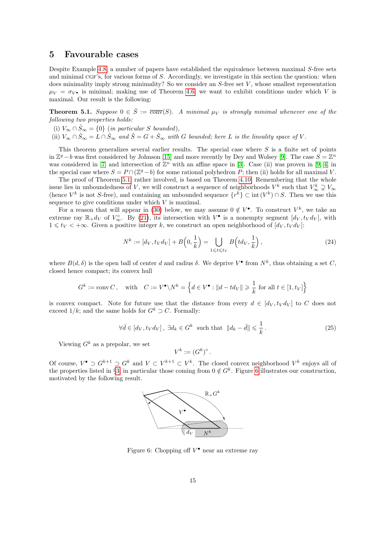## <span id="page-14-0"></span>5 Favourable cases

Despite Example [4.8,](#page-12-0) a number of papers have established the equivalence between maximal S-free sets and minimal cgF's, for various forms of S. Accordingly, we investigate in this section the question: when does minimality imply strong minimality? So we consider an  $S$ -free set  $V$ , whose smallest representation  $\mu_V = \sigma_{V^{\bullet}}$  is minimal; making use of Theorem [4.6,](#page-11-3) we want to exhibit conditions under which V is maximal. Our result is the following:

<span id="page-14-1"></span>**Theorem 5.1.** Suppose  $0 \in \hat{S} := \overline{\text{conv}}(S)$ . A minimal  $\mu_V$  is strongly minimal whenever one of the following two properties holds:

- (i)  $V_{\infty} \cap \hat{S}_{\infty} = \{0\}$  (in particular S bounded),
- (ii)  $V_{\infty} \cap \hat{S}_{\infty} = L \cap \hat{S}_{\infty}$  and  $\hat{S} = G + \hat{S}_{\infty}$  with G bounded; here L is the lineality space of V.

This theorem generalizes several earlier results. The special case where  $S$  is a finite set of points in  $\mathbb{Z}^q$  – b was first considered by Johnson [\[15\]](#page-22-0) and more recently by Dey and Wolsey [\[9\]](#page-21-5). The case  $S = \mathbb{Z}^n$ was considered in [\[7\]](#page-21-2) and intersection of  $\mathbb{Z}^n$  with an affine space in [\[3\]](#page-21-6). Case (ii) was proven in [\[9,](#page-21-5) [4\]](#page-21-7) in the special case where  $S = P \cap (\mathbb{Z}^q - b)$  for some rational polyhedron P; then (ii) holds for all maximal V.

The proof of Theorem [5.1,](#page-14-1) rather involved, is based on Theorem [4.10.](#page-13-1) Remembering that the whole issue lies in unboundedness of V, we will construct a sequence of neighborhoods  $V^k$  such that  $V^k_{\infty} \supsetneq V_{\infty}$ (hence  $V^k$  is not S-free), and containing an unbounded sequence  $\{r^k\} \subset \text{int}(V^k) \cap S$ . Then we use this sequence to give conditions under which  $V$  is maximal.

For a reason that will appear in [\(30\)](#page-15-0) below, we may assume  $0 \notin V^{\bullet}$ . To construct  $V^k$ , we take an extreme ray  $\mathbb{R}_+d_V$  of  $V^{\circ}_{\infty}$ . By [\(21\)](#page-10-1), its intersection with  $V^{\bullet}$  is a nonempty segment  $[d_V, t_V d_V]$ , with  $1 \leq t_V < +\infty$ . Given a positive integer k, we construct an open neighborhood of  $[d_V, t_V d_V]$ :

<span id="page-14-4"></span>
$$
N^{k} := [d_{V}, t_{V} d_{V}] + B\left(0, \frac{1}{k}\right) = \bigcup_{1 \leq t \leq t_{V}} B\left(t d_{V}, \frac{1}{k}\right),\tag{24}
$$

where  $B(d, \delta)$  is the open ball of center d and radius  $\delta$ . We deprive  $V^{\bullet}$  from  $N^k$ , thus obtaining a set C, closed hence compact; its convex hull

$$
G^k:=\operatorname{conv} C\,,\quad\text{with}\quad C:=V^\bullet\backslash N^k=\left\{d\in V^\bullet: \|d-td_V\|\geqslant\frac{1}{k}\text{ for all } t\in[1,t_V]\right\}
$$

is convex compact. Note for future use that the distance from every  $d \in [d_V, t_V d_V]$  to C does not exceed  $1/k$ ; and the same holds for  $G^k \supset C$ . Formally:

<span id="page-14-3"></span>
$$
\forall \bar{d} \in [d_V, t_V d_V], \ \exists d_k \in G^k \ \text{ such that } \|d_k - \bar{d}\| \leqslant \frac{1}{k} \,. \tag{25}
$$

Viewing  $G^k$  as a prepolar, we set

$$
V^k := (G^k)^{\circ}.
$$

Of course,  $V^{\bullet} \supset G^{k+1} \supset G^{k}$  and  $V \subset V^{k+1} \subset V^{k}$ . The closed convex neighborhood  $V^{k}$  enjoys all of the properties listed in §[3,](#page-5-1) in particular those coming from  $0 \notin G^k$ . Figure [6](#page-14-2) illustrates our construction, motivated by the following result.



<span id="page-14-2"></span>Figure 6: Chopping off  $V^{\bullet}$  near an extreme ray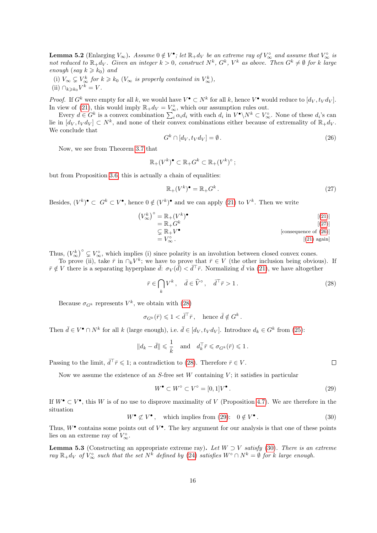<span id="page-15-6"></span>**Lemma 5.2** (Enlarging  $V_{\infty}$ ). Assume  $0 \notin V^{\bullet}$ ; let  $\mathbb{R}_+ d_V$  be an extreme ray of  $V_{\infty}^{\circ}$  and assume that  $V_{\infty}^{\circ}$  is not reduced to  $\mathbb{R}_+d_V$ . Given an integer  $k>0$ , construct  $N^k$ ,  $G^k$ ,  $V^k$  as above. Then  $G^k\neq\emptyset$  for k large enough (say  $k \geq k_0$ ) and

(i)  $V_{\infty} \subsetneq V_{\infty}^k$  for  $k \geq k_0$  ( $V_{\infty}$  is properly contained in  $V_{\infty}^k$ ), (ii)  $\bigcap_{k\geqslant k_0} V^k = V$ .

*Proof.* If  $G^k$  were empty for all k, we would have  $V^{\bullet} \subset N^k$  for all k, hence  $V^{\bullet}$  would reduce to  $[d_V, t_V d_V]$ . In view of [\(21\)](#page-10-1), this would imply  $\mathbb{R}_+ d_V = V^{\circ}_{\infty}$ , which our assumption rules out.

Every  $d \in G^k$  is a convex combination  $\sum_i \alpha_i d_i$  with each  $d_i$  in  $V^{\bullet} \backslash N^k \subset V^{\circ}_{\infty}$ . None of these  $d_i$ 's can lie in  $[d_V, t_V d_V] \subset N^k$ , and none of their convex combinations either because of extremality of  $\mathbb{R}_+ d_V$ . We conclude that

<span id="page-15-2"></span>
$$
G^k \cap [d_V, t_V d_V] = \emptyset. \tag{26}
$$

Now, we see from Theorem [3.7](#page-9-5) that

$$
\mathbb{R}_+(V^k)^\bullet \subset \mathbb{R}_+G^k \subset \mathbb{R}_+(V^k)^\circ ;
$$

but from Proposition [3.6,](#page-9-2) this is actually a chain of equalities:

<span id="page-15-1"></span>
$$
\mathbb{R}_+(V^k)^\bullet = \mathbb{R}_+G^k. \tag{27}
$$

Besides,  $(V^k)^{\bullet} \subset G^k \subset V^{\bullet}$ , hence  $0 \notin (V^k)^{\bullet}$  and we can apply [\(21\)](#page-10-1) to  $V^k$ . Then we write

$$
(V_{\infty}^{k})^{\circ} = \mathbb{R}_{+}(V^{k})^{\bullet}
$$
\n
$$
= \mathbb{R}_{+}G^{k}
$$
\n
$$
\subsetneq \mathbb{R}_{+}V^{\bullet}
$$
\n[(27)]\n
$$
= V_{\infty}^{\circ}.
$$
\n[consequence of (26)]\n[21] again

Thus,  $(V^k_{\infty})^{\circ} \subsetneq V^{\circ}_{\infty}$ , which implies (i) since polarity is an involution between closed convex cones.

To prove (ii), take  $\bar{r}$  in  $\cap_k V^k$ ; we have to prove that  $\bar{r} \in V$  (the other inclusion being obvious). If  $\bar{r} \notin V$  there is a separating hyperplane  $\bar{d}: \sigma_V(\bar{d}) < d^{\top} \bar{r}$ . Normalizing  $\bar{d}$  via [\(21\)](#page-10-1), we have altogether

<span id="page-15-3"></span>
$$
\bar{r} \in \bigcap_{k} V^{k}, \quad \bar{d} \in \hat{V}^{\circ}, \quad \bar{d}^{\top}\bar{r} > 1.
$$
\n
$$
(28)
$$

Because  $\sigma_{G^k}$  represents  $V^k$ , we obtain with [\(28\)](#page-15-3)

$$
\sigma_{G^k}(\bar{r}) \leqslant 1 < \bar{d}^\top \bar{r} \,, \quad \text{hence } \bar{d} \notin G^k \,.
$$

Then  $\bar{d} \in V^{\bullet} \cap N^k$  for all k (large enough), i.e.  $\bar{d} \in [d_V, t_V d_V]$ . Introduce  $d_k \in G^k$  from [\(25\)](#page-14-3):

$$
||d_k - \bar{d}|| \leq \frac{1}{k}
$$
 and  $d_k^{\top} \bar{r} \leq \sigma_{G^k}(\bar{r}) \leq 1$ .

Passing to the limit,  $d^{\top} \bar{r} \leq 1$ ; a contradiction to [\(28\)](#page-15-3). Therefore  $\bar{r} \in V$ .

Now we assume the existence of an  $S$ -free set  $W$  containing  $V$ ; it satisfies in particular

<span id="page-15-4"></span>
$$
W^{\bullet} \subset W^{\circ} \subset V^{\circ} = [0,1]V^{\bullet}.
$$
\n<sup>(29)</sup>

If  $W^{\bullet} \subset V^{\bullet}$ , this W is of no use to disprove maximality of V (Proposition [4.7\)](#page-12-2). We are therefore in the situation

<span id="page-15-0"></span>
$$
W^{\bullet} \not\subset V^{\bullet}, \quad \text{which implies from (29):} \quad 0 \not\in V^{\bullet}. \tag{30}
$$

Thus,  $W^{\bullet}$  contains some points out of  $V^{\bullet}$ . The key argument for our analysis is that one of these points lies on an extreme ray of  $V_{\infty}^{\circ}$ .

<span id="page-15-5"></span>**Lemma 5.3** (Constructing an appropriate extreme ray). Let  $W \supset V$  satisfy [\(30\)](#page-15-0). There is an extreme ray  $\mathbb{R}_+d_V$  of  $V^{\circ}_{\infty}$  such that the set  $N^k$  defined by [\(24\)](#page-14-4) satisfies  $W^{\circ} \cap N^k = \emptyset$  for k large enough.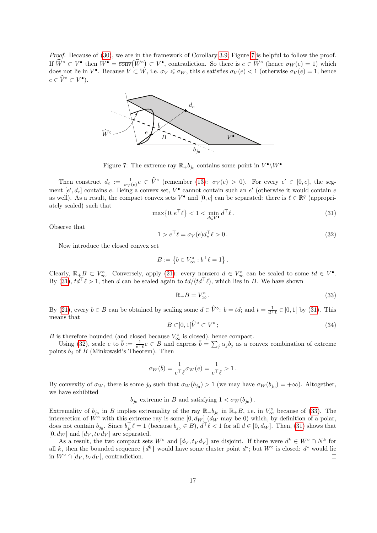Proof. Because of [\(30\)](#page-15-0), we are in the framework of Corollary [3.9;](#page-10-4) Figure [7](#page-16-0) is helpful to follow the proof. If  $\widehat{W}^{\circ} \subset V^{\bullet}$  then  $W^{\bullet} = \overline{\text{conv}}(\widehat{W}^{\circ}) \subset V^{\bullet}$ , contradiction. So there is  $e \in \widehat{W}^{\circ}$  (hence  $\sigma_W(e) = 1$ ) which does not lie in  $V^{\bullet}$ . Because  $V \subset W$ , i.e.  $\sigma_V \leq \sigma_W$ , this e satisfies  $\sigma_V(e) < 1$  (otherwise  $\sigma_V(e) = 1$ , hence  $e \in \widehat{V}^{\circ} \subset V^{\bullet}$ ).



<span id="page-16-0"></span>Figure 7: The extreme ray  $\mathbb{R}_+ b_{j_0}$  contains some point in  $V^{\bullet} \backslash W^{\bullet}$ 

Then construct  $d_e := \frac{1}{\sigma_V(e)} e \in \hat{V}^{\circ}$  (remember [\(13\)](#page-5-4):  $\sigma_V(e) > 0$ ). For every  $e' \in [0, e]$ , the segment  $[e', d_e]$  contains e. Being a convex set,  $V^{\bullet}$  cannot contain such an  $e'$  (otherwise it would contain e as well). As a result, the compact convex sets  $V^{\bullet}$  and  $[0, e]$  can be separated: there is  $\ell \in \mathbb{R}^q$  (appropriately scaled) such that

<span id="page-16-1"></span>
$$
\max\{0, e^{\top}\ell\} < 1 < \min_{d \in V^\bullet} d^{\top}\ell \,. \tag{31}
$$

Observe that

<span id="page-16-2"></span>
$$
1 > e^{\top} \ell = \sigma_V(e) d_e^{\top} \ell > 0. \tag{32}
$$

Now introduce the closed convex set

$$
B := \left\{ b \in V_{\infty}^{\circ} : b^{\top} \ell = 1 \right\}.
$$

Clearly,  $\mathbb{R}_+ B \subset V_\infty^{\circ}$ . Conversely, apply [\(21\)](#page-10-1): every nonzero  $d \in V_\infty^{\circ}$  can be scaled to some  $td \in V^{\bullet}$ . By [\(31\)](#page-16-1),  $td^{\top}\ell > 1$ , then d can be scaled again to  $td/(td^{\top}\ell)$ , which lies in B. We have shown

<span id="page-16-3"></span>
$$
\mathbb{R}_+B = V^{\circ}_{\infty} \,. \tag{33}
$$

By [\(21\)](#page-10-1), every  $b \in B$  can be obtained by scaling some  $d \in \hat{V}^{\circ}$ :  $b = td$ ; and  $t = \frac{1}{d^{\top} \ell} \in ]0,1[$  by [\(31\)](#page-16-1). This means that

$$
B \subset ]0,1[\widehat{V}^{\circ} \subset V^{\circ};\tag{34}
$$

B is therefore bounded (and closed because  $V^{\circ}_{\infty}$  is closed), hence compact.

Using [\(32\)](#page-16-2), scale e to  $\bar{b} := \frac{1}{e^{\top} \ell} e \in B$  and express  $\bar{b} = \sum_j \alpha_j b_j$  as a convex combination of extreme points  $b_i$  of B (Minkowski's Theorem). Then

$$
\sigma_W(\bar{b}) = \frac{1}{e^\top \ell} \sigma_W(e) = \frac{1}{e^\top \ell} > 1.
$$

By convexity of  $\sigma_W$ , there is some  $j_0$  such that  $\sigma_W(b_{j_0}) > 1$  (we may have  $\sigma_W(b_{j_0}) = +\infty$ ). Altogether, we have exhibited

 $b_{j_0}$  extreme in B and satisfying  $1 < \sigma_W(b_{j_0})$ .

Extremality of  $b_{j_0}$  in B implies extremality of the ray  $\mathbb{R}_+ b_{j_0}$  in  $\mathbb{R}_+ B$ , i.e. in  $V^{\circ}_{\infty}$  because of [\(33\)](#page-16-3). The intersection of  $\tilde{W}^{\circ}$  with this extreme ray is some  $[0, d_W]$   $(d_W \text{ may be } 0)$  which, by definition of a polar, does not contain  $b_{j_0}$ . Since  $b_{j_0}^{\top} \ell = 1$  (because  $b_{j_0} \in B$ ),  $d^{\top} \ell < 1$  for all  $d \in [0, d_W]$ . Then, [\(31\)](#page-16-1) shows that  $[0, d_W]$  and  $[d_V, t_V d_V]$  are separated.

As a result, the two compact sets  $W^{\circ}$  and  $[d_V, t_V d_V]$  are disjoint. If there were  $d^k \in W^{\circ} \cap N^k$  for all k, then the bounded sequence  $\{d^k\}$  would have some cluster point  $d^*$ ; but  $W^{\circ}$  is closed:  $d^*$  would lie in  $W^{\circ} \cap [d_V, t_V d_V]$ , contradiction.  $\Box$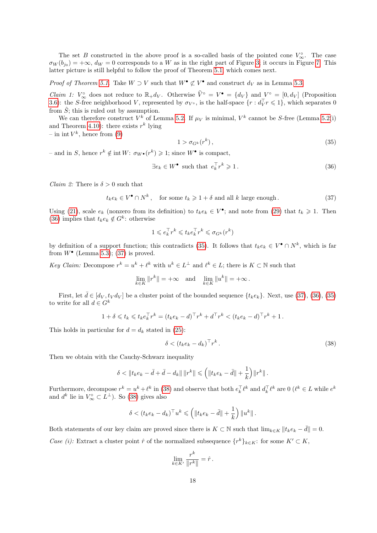The set B constructed in the above proof is a so-called basis of the pointed cone  $V^{\circ}_{\infty}$ . The case  $\sigma_W(b_{j_0}) = +\infty$ ,  $d_W = 0$  corresponds to a W as in the right part of Figure [3;](#page-8-0) it occurs in Figure [7.](#page-16-0) This latter picture is still helpful to follow the proof of Theorem [5.1,](#page-14-1) which comes next.

*Proof of Theorem [5.1.](#page-14-1)* Take  $W \supset V$  such that  $W^{\bullet} \not\subset V^{\bullet}$  and construct  $d_V$  as in Lemma [5.3.](#page-15-5)

*Claim 1:*  $V_{\infty}^{\circ}$  does not reduce to  $\mathbb{R}_+d_V$ . Otherwise  $\hat{V}^{\circ} = V^{\bullet} = \{d_V\}$  and  $V^{\circ} = [0, d_V]$  (Proposition [3.6\)](#page-9-2): the S-free neighborhood V, represented by  $\sigma_{V^{\circ}}$ , is the half-space  $\{r : d_V^{\top} r \leqslant 1\}$ , which separates 0 from  $\hat{S}$ ; this is ruled out by assumption.

We can therefore construct  $V^k$  of Lemma [5.2.](#page-15-6) If  $\mu_V$  is minimal,  $V^k$  cannot be S-free (Lemma [5.2\(](#page-15-6)i) and Theorem [4.10\)](#page-13-1): there exists  $r^k$  lying

– in int  $V^k$ , hence from [\(9\)](#page-4-2)

<span id="page-17-1"></span>
$$
1 > \sigma_{G^k}(r^k),\tag{35}
$$

- and in S, hence  $r^k \notin \text{int } W$ :  $\sigma_{W^{\bullet}}(r^k) \geq 1$ ; since  $W^{\bullet}$  is compact,

<span id="page-17-0"></span>
$$
\exists e_k \in W^{\bullet} \text{ such that } e_k^{\top} r^k \geq 1. \tag{36}
$$

*Claim 2:* There is  $\delta > 0$  such that

<span id="page-17-2"></span>
$$
t_k e_k \in V^{\bullet} \cap N^k, \quad \text{for some } t_k \geq 1 + \delta \text{ and all } k \text{ large enough.}
$$
 (37)

Using [\(21\)](#page-10-1), scale  $e_k$  (nonzero from its definition) to  $t_k e_k \in V^{\bullet}$ ; and note from [\(29\)](#page-15-4) that  $t_k \geq 1$ . Then [\(36\)](#page-17-0) implies that  $t_k e_k \notin G^k$ : otherwise

$$
1 \leqslant e_k^\top r^k \leqslant t_k e_k^\top r^k \leqslant \sigma_{G^k}(r^k)
$$

by definition of a support function; this contradicts [\(35\)](#page-17-1). It follows that  $t_ke_k \in V^{\bullet} \cap N^k$ , which is far from  $W^{\bullet}$  (Lemma [5.3\)](#page-15-5); [\(37\)](#page-17-2) is proved.

Key Claim: Decompose  $r^k = u^k + \ell^k$  with  $u^k \in L^{\perp}$  and  $\ell^k \in L$ ; there is  $K \subset \mathbb{N}$  such that

$$
\lim_{k \in K} ||r^k|| = +\infty \quad \text{and} \quad \lim_{k \in K} ||u^k|| = +\infty \, .
$$

First, let  $\bar{d} \in [d_V, t_V d_V]$  be a cluster point of the bounded sequence  $\{t_k e_k\}$ . Next, use [\(37\)](#page-17-2), [\(36\)](#page-17-0), [\(35\)](#page-17-1) to write for all  $d \in G^k$ 

$$
1 + \delta \leq t_k \leq t_k e_k^{\top} r^k = (t_k e_k - d)^{\top} r^k + d^{\top} r^k < (t_k e_k - d)^{\top} r^k + 1.
$$

This holds in particular for  $d = d_k$  stated in [\(25\)](#page-14-3):

<span id="page-17-3"></span>
$$
\delta < (t_k e_k - d_k)^\top r^k \,. \tag{38}
$$

Then we obtain with the Cauchy-Schwarz inequality

$$
\delta < ||t_k e_k - \bar{d} + \bar{d} - d_k|| \, ||r^k|| \leq \left( ||t_k e_k - \bar{d}|| + \frac{1}{k} \right) ||r^k|| \, .
$$

Furthermore, decompose  $r^k = u^k + \ell^k$  in [\(38\)](#page-17-3) and observe that both  $e_k^\top \ell^k$  and  $d_k^\top \ell^k$  are  $0 \ (\ell^k \in L \text{ while } e^k)$ and  $d^k$  lie in  $V^{\circ}_{\infty} \subset L^{\perp}$ ). So [\(38\)](#page-17-3) gives also

$$
\delta < (t_k e_k - d_k)^\top u^k \leqslant \left( \| t_k e_k - \bar{d} \| + \frac{1}{k} \right) \| u^k \|.
$$

Both statements of our key claim are proved since there is  $K \subset \mathbb{N}$  such that  $\lim_{k \in K} ||t_k e_k - \bar{d}|| = 0$ . Case (i): Extract a cluster point  $\hat{r}$  of the normalized subsequence  $\{r^k\}_{k\in K}$ : for some  $K' \subset K$ ,

$$
\lim_{k\in K'}\frac{r^k}{\|r^k\|}=\hat{r}\,.
$$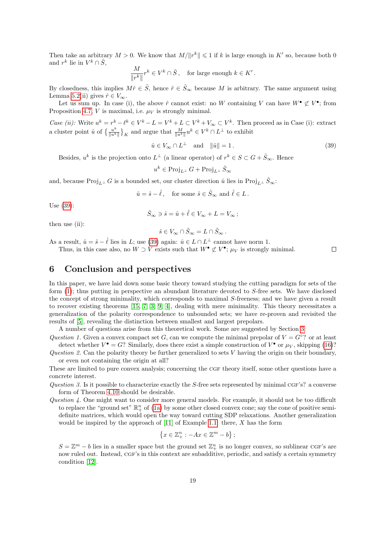Then take an arbitrary  $M > 0$ . We know that  $M/||r^k|| \leq 1$  if k is large enough in K' so, because both 0 and  $r^k$  lie in  $V^k \cap \hat{S}$ ,

$$
\frac{M}{\|r^k\|}r^k\in V^k\cap \hat{S}\,,\quad \text{for large enough }k\in K'\,.
$$

By closedness, this implies  $M\hat{r} \in \hat{S}$ , hence  $\hat{r} \in \hat{S}$  because M is arbitrary. The same argument using Lemma [5.2\(](#page-15-6)ii) gives  $\hat{r} \in V_{\infty}$ .

Let us sum up. In case (i), the above  $\hat{r}$  cannot exist: no W containing V can have  $W^{\bullet} \not\subset V^{\bullet}$ ; from Proposition [4.7,](#page-12-2)  $V$  is maximal, i.e.  $\mu_V$  is strongly minimal.

Case (ii): Write  $u^k = r^k - \ell^k \in V^k - L = V^k + L \subset V^k + V_\infty \subset V^k$ . Then proceed as in Case (i): extract a cluster point  $\hat{u}$  of  $\left\{\frac{u^k}{\|u\|^k}\right\}$  $\frac{u^k}{\|u^k\|}\}_K$  and argue that  $\frac{M}{\|u^k\|}u^k \in V^k \cap L^{\perp}$  to exhibit

<span id="page-18-0"></span> $\hat{u} \in V_{\infty} \cap L^{\perp}$  and  $\|\hat{u}\| = 1$ . (39)

 $\Box$ 

Besides,  $u^k$  is the projection onto  $L^{\perp}$  (a linear operator) of  $r^k \in S \subset G + \hat{S}_{\infty}$ . Hence

$$
u^k \in \text{Proj}_{L^\perp} G + \text{Proj}_{L^\perp} \hat{S}_\infty
$$

and, because Proj<sub>L</sub>⊥ G is a bounded set, our cluster direction  $\hat{u}$  lies in Proj<sub>L</sub>⊥  $\hat{S}_{\infty}$ :

$$
\hat{u} = \hat{s} - \hat{\ell}
$$
, for some  $\hat{s} \in \hat{S}_{\infty}$  and  $\hat{\ell} \in L$ .

Use [\(39\)](#page-18-0):

$$
\hat{S}_\infty\ni \hat{s}=\hat{u}+\hat{\ell}\in V_\infty+L=V_\infty\,;
$$

then use (ii):

$$
\hat{s} \in V_{\infty} \cap \hat{S}_{\infty} = L \cap \hat{S}_{\infty} .
$$

As a result,  $\hat{u} = \hat{s} - \hat{\ell}$  lies in L; use [\(39\)](#page-18-0) again:  $\hat{u} \in L \cap L^{\perp}$  cannot have norm 1.

Thus, in this case also, no  $W \supset V$  exists such that  $W^{\bullet} \not\subset V^{\bullet}$ ;  $\mu_V$  is strongly minimal.

## 6 Conclusion and perspectives

In this paper, we have laid down some basic theory toward studying the cutting paradigm for sets of the form  $(1)$ ; thus putting in perspective an abundant literature devoted to S-free sets. We have disclosed the concept of strong minimality, which corresponds to maximal S-freeness; and we have given a result to recover existing theorems [\[15,](#page-22-0) [7,](#page-21-2) [3,](#page-21-6) [9,](#page-21-5) [4\]](#page-21-7), dealing with mere minimality. This theory necessitates a generalization of the polarity correspondence to unbounded sets; we have re-proven and revisited the results of [\[5\]](#page-21-10), revealing the distinction between smallest and largest prepolars.

A number of questions arise from this theoretical work. Some are suggested by Section [3:](#page-5-1)

Question 1. Given a convex compact set G, can we compute the minimal prepolar of  $V = G \circ ?$  or at least detect whether  $V^{\bullet} = G$ ? Similarly, does there exist a simple construction of  $V^{\bullet}$  or  $\mu_V$ , skipping [\(16\)](#page-7-0)?

Question 2. Can the polarity theory be further generalized to sets  $V$  having the origin on their boundary, or even not containing the origin at all?

These are limited to pure convex analysis; concerning the CGF theory itself, some other questions have a concrete interest.

- Question 3. Is it possible to characterize exactly the S-free sets represented by minimal CGF's? a converse form of Theorem [4.10](#page-13-1) should be desirable.
- Question  $\lambda$ . One might want to consider more general models. For example, it should not be too difficult to replace the "ground set"  $\mathbb{R}^n_+$  of [\(1a\)](#page-0-2) by some other closed convex cone; say the cone of positive semidefinite matrices, which would open the way toward cutting SDP relaxations. Another generalization would be inspired by the approach of  $[11]$  of Example [1.1:](#page-1-3) there, X has the form

$$
\left\{x \in \mathbb{Z}_{+}^{n} : -Ax \in \mathbb{Z}^{m} - b\right\};
$$

 $S = \mathbb{Z}^m - b$  lies in a smaller space but the ground set  $\mathbb{Z}_{+}^n$  is no longer convex, so sublinear CGF's are now ruled out. Instead, CGF's in this context are subadditive, periodic, and satisfy a certain symmetry condition [\[12\]](#page-21-11).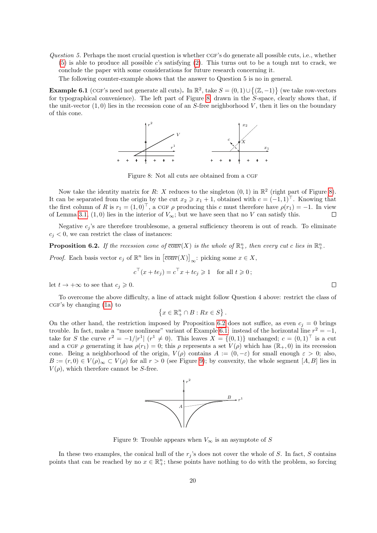Question 5. Perhaps the most crucial question is whether CGF's do generate all possible cuts, i.e., whether [\(5\)](#page-1-2) is able to produce all possible c's satisfying [\(2\)](#page-0-1). This turns out to be a tough nut to crack, we conclude the paper with some considerations for future research concerning it.

The following counter-example shows that the answer to Question 5 is no in general.

<span id="page-19-2"></span>**Example 6.1** (CGF's need not generate all cuts). In  $\mathbb{R}^2$ , take  $S = (0,1) \cup \{(\mathbb{Z},-1)\}$  (we take row-vectors for typographical convenience). The left part of Figure [8,](#page-19-0) drawn in the S-space, clearly shows that, if the unit-vector  $(1,0)$  lies in the recession cone of an S-free neighborhood V, then it lies on the boundary of this cone.



<span id="page-19-0"></span>Figure 8: Not all cuts are obtained from a CGF

Now take the identity matrix for R: X reduces to the singleton  $(0,1)$  in  $\mathbb{R}^2$  (right part of Figure [8\)](#page-19-0). It can be separated from the origin by the cut  $x_2 \geq x_1 + 1$ , obtained with  $c = (-1, 1)^{\top}$ . Knowing that the first column of R is  $r_1 = (1, 0)^{\top}$ , a CGF  $\rho$  producing this c must therefore have  $\rho(r_1) = -1$ . In view of Lemma [3.1,](#page-6-2) (1,0) lies in the interior of  $V_{\infty}$ ; but we have seen that no V can satisfy this.  $\Box$ 

Negative  $c_i$ 's are therefore troublesome, a general sufficiency theorem is out of reach. To eliminate  $c_i < 0$ , we can restrict the class of instances:

<span id="page-19-1"></span>**Proposition 6.2.** If the recession cone of  $\overline{conv}(X)$  is the whole of  $\mathbb{R}^n_+$ , then every cut c lies in  $\mathbb{R}^n_+$ .

*Proof.* Each basis vector  $e_j$  of  $\mathbb{R}^n$  lies in  $\left[\overline{\text{conv}}(X)\right]_{\infty}$ : picking some  $x \in X$ ,

$$
c^{\top}(x + te_j) = c^{\top}x + tc_j \ge 1
$$
 for all  $t \ge 0$ ;

let  $t \to +\infty$  to see that  $c_j \geqslant 0$ .

To overcome the above difficulty, a line of attack might follow Question 4 above: restrict the class of  $CGF's$  by changing  $(1a)$  to

$$
\{x \in \mathbb{R}^n_+ \cap B : Rx \in S\}.
$$

On the other hand, the restriction imposed by Proposition [6.2](#page-19-1) does not suffice, as even  $c_i = 0$  brings trouble. In fact, make a "more nonlinear" variant of Example [6.1:](#page-19-2) instead of the horizontal line  $r^2 = -1$ , take for S the curve  $r^2 = -1/|r^1|$   $(r^1 \neq 0)$ . This leaves  $X = \{(0,1)\}$  unchanged;  $c = (0,1)^\top$  is a cut and a CGF ρ generating it has  $\rho(r_1) = 0$ ; this ρ represents a set  $V(\rho)$  which has  $(\mathbb{R}_+, 0)$  in its recession cone. Being a neighborhood of the origin,  $V(\rho)$  contains  $A := (0, -\varepsilon)$  for small enough  $\varepsilon > 0$ ; also,  $B := (r, 0) \in V(\rho)_{\infty} \subset V(\rho)$  for all  $r > 0$  (see Figure [9\)](#page-19-3); by convexity, the whole segment  $[A, B]$  lies in  $V(\rho)$ , which therefore cannot be S-free.



<span id="page-19-3"></span>Figure 9: Trouble appears when  $V_{\infty}$  is an asymptote of S

In these two examples, the conical hull of the  $r_i$ 's does not cover the whole of S. In fact, S contains points that can be reached by no  $x \in \mathbb{R}^n_+$ ; these points have nothing to do with the problem, so forcing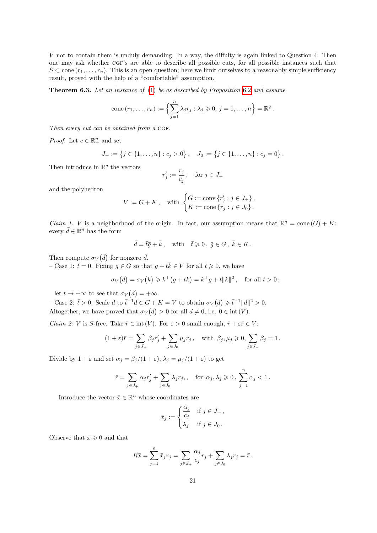V not to contain them is unduly demanding. In a way, the diffulty is again linked to Question 4. Then one may ask whether cgf's are able to describe all possible cuts, for all possible instances such that  $S \subset \text{cone}(r_1, \ldots, r_n)$ . This is an open question; here we limit ourselves to a reasonably simple sufficiency result, proved with the help of a "comfortable" assumption.

**Theorem 6.3.** Let an instance of  $(1)$  be as described by Proposition [6.2](#page-19-1) and assume

cone 
$$
(r_1, ..., r_n) := \left\{ \sum_{j=1}^n \lambda_j r_j : \lambda_j \geq 0, j = 1, ..., n \right\} = \mathbb{R}^q
$$
.

Then every cut can be obtained from a  $CGF$ .

*Proof.* Let  $c \in \mathbb{R}^n_+$  and set

$$
J_+ := \{ j \in \{1, \ldots, n\} : c_j > 0 \}, \quad J_0 := \{ j \in \{1, \ldots, n\} : c_j = 0 \}.
$$

Then introduce in  $\mathbb{R}^q$  the vectors

$$
r'_j:=\frac{r_j}{c_j}\,,\quad\text{for }j\in J_+
$$

and the polyhedron

$$
V := G + K, \text{ with } \begin{cases} G := \text{conv } \{r'_j : j \in J_+ \}, \\ K := \text{cone } \{r_j : j \in J_0 \}. \end{cases}
$$

*Claim 1: V* is a neighborhood of the origin. In fact, our assumption means that  $\mathbb{R}^q = \text{cone}(G) + K$ : every  $\bar{d} \in \mathbb{R}^n$  has the form

$$
\bar{d} = \bar{t}\bar{g} + \bar{k}, \quad \text{with} \quad \bar{t} \geqslant 0, \ \bar{g} \in G, \ \bar{k} \in K.
$$

Then compute  $\sigma_V(\bar{d})$  for nonzero  $\bar{d}$ .

– Case 1:  $\bar{t} = 0$ . Fixing  $g \in G$  so that  $g + t\bar{k} \in V$  for all  $t \geq 0$ , we have

$$
\sigma_V(\bar{d}) = \sigma_V(\bar{k}) \geqslant \bar{k}^\top (g + t\bar{k}) = \bar{k}^\top g + t||\bar{k}||^2, \text{ for all } t > 0;
$$

let  $t \to +\infty$  to see that  $\sigma_V(\bar{d}) = +\infty$ .

- Case 2:  $\bar{t} > 0$ . Scale  $\bar{d}$  to  $\bar{t}^{-1}\bar{d} \in G + K = V$  to obtain  $\sigma_V(\bar{d}) \geq \bar{t}^{-1} ||\bar{d}||^2 > 0$ . Altogether, we have proved that  $\sigma_V(\bar{d}) > 0$  for all  $\bar{d} \neq 0$ , i.e.  $0 \in \text{int}(V)$ .

*Claim 2: V* is S-free. Take  $\bar{r} \in \text{int}(V)$ . For  $\varepsilon > 0$  small enough,  $\bar{r} + \varepsilon \bar{r} \in V$ :

$$
(1+\varepsilon)\bar{r} = \sum_{j\in J_+} \beta_j r'_j + \sum_{j\in J_0} \mu_j r_j , \quad \text{with } \beta_j, \mu_j \geq 0, \sum_{j\in J_+} \beta_j = 1.
$$

Divide by  $1 + \varepsilon$  and set  $\alpha_j = \beta_j/(1 + \varepsilon)$ ,  $\lambda_j = \mu_j/(1 + \varepsilon)$  to get

$$
\bar{r} = \sum_{j \in J_+} \alpha_j r'_j + \sum_{j \in J_0} \lambda_j r_j, \quad \text{for } \alpha_j, \lambda_j \geqslant 0, \sum_{j=1}^n \alpha_j < 1.
$$

Introduce the vector  $\bar{x} \in \mathbb{R}^n$  whose coordinates are

$$
\bar{x}_j := \begin{cases} \frac{\alpha_j}{c_j} & \text{if } j \in J_+, \\ \lambda_j & \text{if } j \in J_0. \end{cases}
$$

Observe that  $\bar{x} \geq 0$  and that

$$
R\bar{x} = \sum_{j=1}^{n} \bar{x}_j r_j = \sum_{j \in J_+} \frac{\alpha_j}{c_j} r_j + \sum_{j \in J_0} \lambda_j r_j = \bar{r}.
$$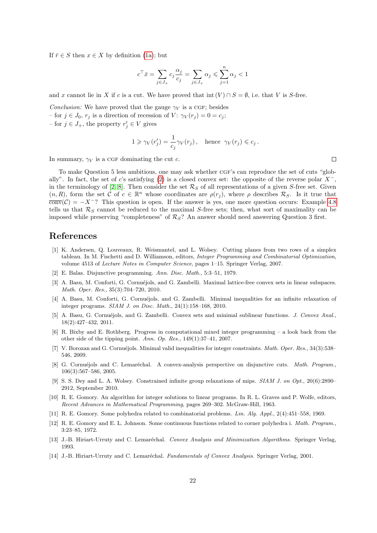If  $\bar{r} \in S$  then  $x \in X$  by definition [\(1a\)](#page-0-2); but

$$
c^\top \bar{x} = \sum_{j \in J_+} c_j \frac{\alpha_j}{c_j} = \sum_{j \in J_+} \alpha_j \leqslant \sum_{j=1}^n \alpha_j < 1
$$

and x cannot lie in X if c is a cut. We have proved that int  $(V) \cap S = \emptyset$ , i.e. that V is S-free.

*Conclusion:* We have proved that the gauge  $\gamma_V$  is a CGF; besides – for  $j \in J_0$ ,  $r_j$  is a direction of recession of  $V: \gamma_V(r_j) = 0 = c_j$ ; – for  $j \in J_+$ , the property  $r'_j \in V$  gives

$$
1 \geq \gamma_V(r'_j) = \frac{1}{c_j} \gamma_V(r_j), \quad \text{hence} \quad \gamma_V(r_j) \leqslant c_j \,.
$$

In summary,  $\gamma_V$  is a CGF dominating the cut c.

To make Question 5 less ambitious, one may ask whether CGF's can reproduce the set of cuts "glob-ally". In fact, the set of c's satisfying [\(2\)](#page-0-1) is a closed convex set: the opposite of the reverse polar  $X^-$ , in the terminology of [\[2,](#page-21-12) [8\]](#page-21-13). Then consider the set  $\mathcal{R}_S$  of all representations of a given S-free set. Given  $(n, R)$ , form the set C of  $c \in \mathbb{R}^n$  whose coordinates are  $\rho(r_j)$ , where  $\rho$  describes  $\mathcal{R}_S$ . Is it true that  $\overline{\text{conv}}(\mathcal{C}) = -X^{-}$ ? This question is open. If the answer is yes, one more question occurs: Example [4.8](#page-12-0) tells us that  $\mathcal{R}_S$  cannot be reduced to the maximal S-free sets; then, what sort of maximality can be imposed while preserving "completeness" of  $\mathcal{R}_S$ ? An answer should need answering Question 3 first.

## References

- <span id="page-21-1"></span>[1] K. Andersen, Q. Louveaux, R. Weismantel, and L. Wolsey. Cutting planes from two rows of a simplex tableau. In M. Fischetti and D. Williamson, editors, Integer Programming and Combinatorial Optimization, volume 4513 of Lecture Notes in Computer Science, pages 1–15. Springer Verlag, 2007.
- <span id="page-21-12"></span>[2] E. Balas. Disjunctive programming. Ann. Disc. Math., 5:3–51, 1979.
- <span id="page-21-6"></span>[3] A. Basu, M. Conforti, G. Cornuéjols, and G. Zambelli. Maximal lattice-free convex sets in linear subspaces. Math. Oper. Res., 35(3):704–720, 2010.
- <span id="page-21-7"></span>[4] A. Basu, M. Conforti, G. Cornuéjols, and G. Zambelli. Minimal inequalities for an infinite relaxation of integer programs. SIAM J. on Disc. Math., 24(1):158–168, 2010.
- <span id="page-21-10"></span>[5] A. Basu, G. Cornuéjols, and G. Zambelli. Convex sets and minimal sublinear functions. J. Convex Anal., 18(2):427–432, 2011.
- <span id="page-21-4"></span>[6] R. Bixby and E. Rothberg. Progress in computational mixed integer programming – a look back from the other side of the tipping point. Ann. Op. Res., 149(1):37–41, 2007.
- <span id="page-21-2"></span>[7] V. Borozan and G. Cornuéjols. Minimal valid inequalities for integer constraints. Math. Oper. Res., 34(3):538– 546, 2009.
- <span id="page-21-13"></span>[8] G. Cornuéjols and C. Lemaréchal. A convex-analysis perspective on disjunctive cuts. Math. Program., 106(3):567–586, 2005.
- <span id="page-21-5"></span>[9] S. S. Dey and L. A. Wolsey. Constrained infinite group relaxations of mips. SIAM J. on Opt., 20(6):2890– 2912, September 2010.
- <span id="page-21-3"></span>[10] R. E. Gomory. An algorithm for integer solutions to linear programs. In R. L. Graves and P. Wolfe, editors, Recent Advances in Mathematical Programming, pages 269–302. McGraw-Hill, 1963.
- <span id="page-21-0"></span>[11] R. E. Gomory. Some polyhedra related to combinatorial problems. Lin. Alg. Appl., 2(4):451–558, 1969.
- <span id="page-21-11"></span>[12] R. E. Gomory and E. L. Johnson. Some continuous functions related to corner polyhedra i. Math. Program., 3:23–85, 1972.
- <span id="page-21-9"></span>[13] J.-B. Hiriart-Urruty and C. Lemaréchal. Convex Analysis and Minimization Algorithms. Springer Verlag, 1993.
- <span id="page-21-8"></span>[14] J.-B. Hiriart-Urruty and C. Lemaréchal. Fundamentals of Convex Analysis. Springer Verlag, 2001.